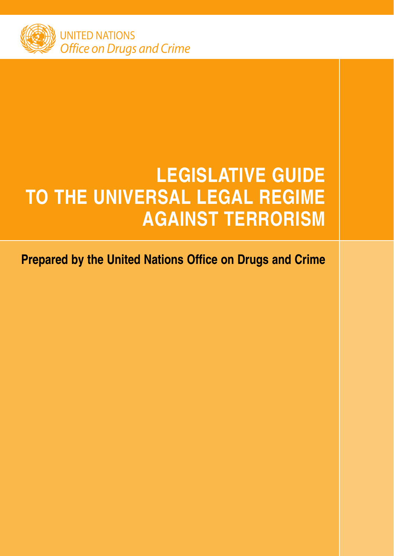

# **LEGISLATIVE GUIDE TO THE UNIVERSAL LEGAL REGIME AGAINST TERRORISM**

# **Prepared by the United Nations Office on Drugs and Crime**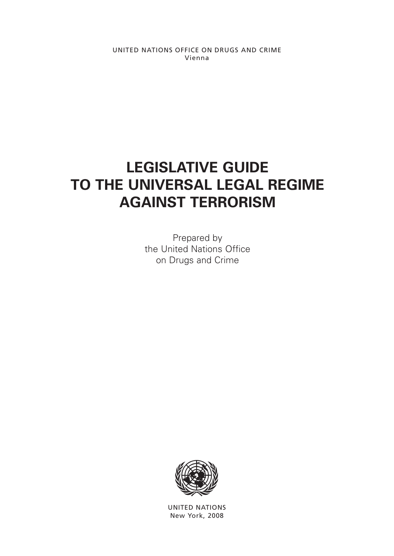UNITED NATIONS OFFICE ON DRUGS AND CRIME Vienna

# **LEGISLATIVE GUIDE TO THE UNIVERSAL LEGAL REGIME AGAINST TERRORISM**

Prepared by the United Nations Office on Drugs and Crime



UNITED NATIONS New York, 2008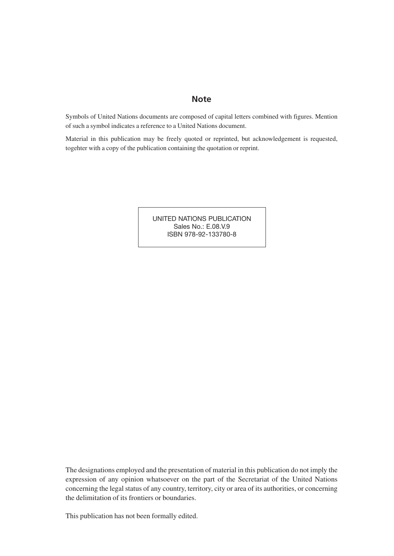### **Note**

Symbols of United Nations documents are composed of capital letters combined with figures. Mention of such a symbol indicates a reference to a United Nations document.

Material in this publication may be freely quoted or reprinted, but acknowledgement is requested, togehter with a copy of the publication containing the quotation or reprint.

> UNITED NATIONS PUBLICATION Sales No.: E.08.V.9 ISBN 978-92-133780-8

The designations employed and the presentation of material in this publication do not imply the expression of any opinion whatsoever on the part of the Secretariat of the United Nations concerning the legal status of any country, territory, city or area of its authorities, or concerning the delimitation of its frontiers or boundaries.

This publication has not been formally edited.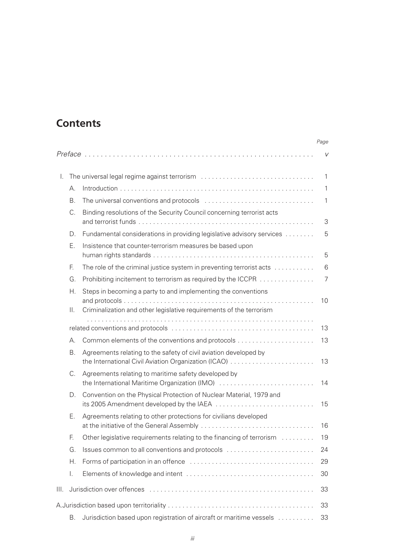# **Contents**

|    |                                              |                                                                                                      | Page     |  |  |
|----|----------------------------------------------|------------------------------------------------------------------------------------------------------|----------|--|--|
|    |                                              |                                                                                                      | V        |  |  |
| I. | The universal legal regime against terrorism |                                                                                                      |          |  |  |
|    | А.                                           |                                                                                                      | 1        |  |  |
|    | Β.                                           | The universal conventions and protocols                                                              | 1        |  |  |
|    | C.                                           | Binding resolutions of the Security Council concerning terrorist acts                                | 3        |  |  |
|    | D.                                           | Fundamental considerations in providing legislative advisory services                                | 5        |  |  |
|    | Ε.                                           | Insistence that counter-terrorism measures be based upon                                             | 5        |  |  |
|    | F.                                           | The role of the criminal justice system in preventing terrorist acts                                 | 6        |  |  |
|    | G.                                           | Prohibiting incitement to terrorism as required by the ICCPR                                         | 7        |  |  |
|    | Η.                                           | Steps in becoming a party to and implementing the conventions                                        |          |  |  |
|    | Ш.                                           | Criminalization and other legislative requirements of the terrorism                                  | 10       |  |  |
|    |                                              |                                                                                                      |          |  |  |
|    | А.                                           |                                                                                                      | 13<br>13 |  |  |
|    | Β.                                           | Agreements relating to the safety of civil aviation developed by                                     |          |  |  |
|    |                                              | the International Civil Aviation Organization (ICAO)                                                 | 13       |  |  |
|    | C.                                           | Agreements relating to maritime safety developed by<br>the International Maritime Organization (IMO) | 14       |  |  |
|    | D.                                           | Convention on the Physical Protection of Nuclear Material, 1979 and                                  | 15       |  |  |
|    | Е.                                           | Agreements relating to other protections for civilians developed                                     | 16       |  |  |
|    | F.                                           | Other legislative requirements relating to the financing of terrorism                                | 19       |  |  |
|    | G.                                           | Issues common to all conventions and protocols                                                       | 24       |  |  |
|    | Η.                                           |                                                                                                      | 29       |  |  |
|    | I.                                           |                                                                                                      | 30       |  |  |
| Ш. |                                              |                                                                                                      | 33       |  |  |
|    |                                              |                                                                                                      | 33       |  |  |
|    | В.                                           | Jurisdiction based upon registration of aircraft or maritime vessels                                 | 33       |  |  |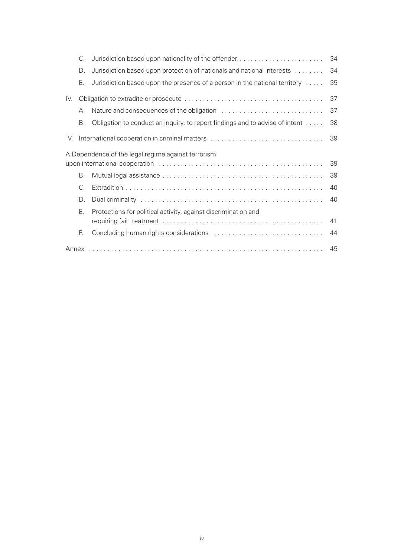|                                                    | C. | Jurisdiction based upon nationality of the offender                                | 34 |  |  |  |  |  |
|----------------------------------------------------|----|------------------------------------------------------------------------------------|----|--|--|--|--|--|
|                                                    | D. | Jurisdiction based upon protection of nationals and national interests             | 34 |  |  |  |  |  |
|                                                    | Ε. | Jurisdiction based upon the presence of a person in the national territory $\dots$ | 35 |  |  |  |  |  |
| IV.                                                |    |                                                                                    |    |  |  |  |  |  |
|                                                    | А. | Nature and consequences of the obligation                                          | 37 |  |  |  |  |  |
|                                                    | В. | Obligation to conduct an inquiry, to report findings and to advise of intent       | 38 |  |  |  |  |  |
|                                                    |    | V. International cooperation in criminal matters                                   | 39 |  |  |  |  |  |
| A.Dependence of the legal regime against terrorism |    |                                                                                    |    |  |  |  |  |  |
| 39                                                 |    |                                                                                    |    |  |  |  |  |  |
|                                                    | Β. |                                                                                    | 39 |  |  |  |  |  |
|                                                    | С. |                                                                                    | 40 |  |  |  |  |  |
|                                                    | D. |                                                                                    | 40 |  |  |  |  |  |
|                                                    | Е. | Protections for political activity, against discrimination and                     |    |  |  |  |  |  |
|                                                    |    |                                                                                    | 41 |  |  |  |  |  |
|                                                    | F. |                                                                                    | 44 |  |  |  |  |  |
|                                                    |    |                                                                                    | 45 |  |  |  |  |  |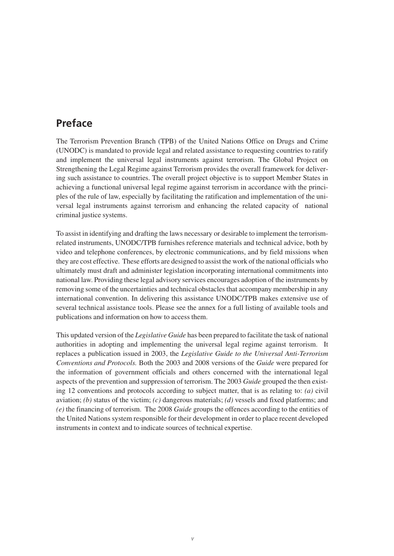# **Preface**

The Terrorism Prevention Branch (TPB) of the United Nations Office on Drugs and Crime (UNODC) is mandated to provide legal and related assistance to requesting countries to ratify and implement the universal legal instruments against terrorism. The Global Project on Strengthening the Legal Regime against Terrorism provides the overall framework for delivering such assistance to countries. The overall project objective is to support Member States in achieving a functional universal legal regime against terrorism in accordance with the principles of the rule of law, especially by facilitating the ratification and implementation of the universal legal instruments against terrorism and enhancing the related capacity of national criminal justice systems.

To assist in identifying and drafting the laws necessary or desirable to implement the terrorismrelated instruments, UNODC/TPB furnishes reference materials and technical advice, both by video and telephone conferences, by electronic communications, and by field missions when they are cost effective. These efforts are designed to assist the work of the national officials who ultimately must draft and administer legislation incorporating international commitments into national law. Providing these legal advisory services encourages adoption of the instruments by removing some of the uncertainties and technical obstacles that accompany membership in any international convention. In delivering this assistance UNODC/TPB makes extensive use of several technical assistance tools. Please see the annex for a full listing of available tools and publications and information on how to access them.

This updated version of the *Legislative Guide* has been prepared to facilitate the task of national authorities in adopting and implementing the universal legal regime against terrorism. It replaces a publication issued in 2003, the *Legislative Guide to the Universal Anti-Terrorism Conventions and Protocols.* Both the 2003 and 2008 versions of the *Guide* were prepared for the information of government officials and others concerned with the international legal aspects of the prevention and suppression of terrorism. The 2003 *Guide* grouped the then existing 12 conventions and protocols according to subject matter, that is as relating to: *(a)* civil aviation; *(b)* status of the victim; *(c)* dangerous materials; *(d)* vessels and fixed platforms; and *(e)* the financing of terrorism. The 2008 *Guide* groups the offences according to the entities of the United Nations system responsible for their development in order to place recent developed instruments in context and to indicate sources of technical expertise.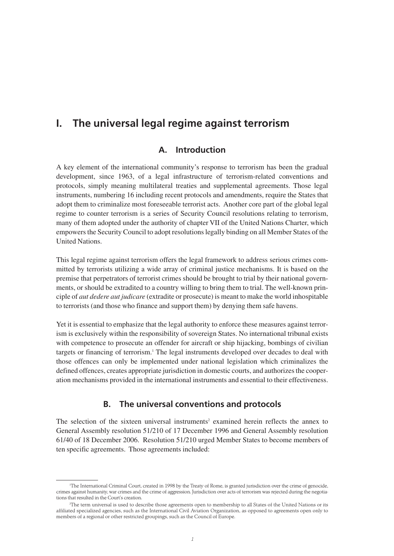# **I.—The universal legal regime against terrorism**

### **A.—Introduction**

A key element of the international community's response to terrorism has been the gradual development, since 1963, of a legal infrastructure of terrorism-related conventions and protocols, simply meaning multilateral treaties and supplemental agreements. Those legal instruments, numbering 16 including recent protocols and amendments, require the States that adopt them to criminalize most foreseeable terrorist acts. Another core part of the global legal regime to counter terrorism is a series of Security Council resolutions relating to terrorism, many of them adopted under the authority of chapter VII of the United Nations Charter, which empowers the Security Council to adopt resolutions legally binding on all Member States of the United Nations.

This legal regime against terrorism offers the legal framework to address serious crimes committed by terrorists utilizing a wide array of criminal justice mechanisms. It is based on the premise that perpetrators of terrorist crimes should be brought to trial by their national governments, or should be extradited to a country willing to bring them to trial. The well-known principle of *aut dedere aut judicare* (extradite or prosecute) is meant to make the world inhospitable to terrorists (and those who finance and support them) by denying them safe havens.

Yet it is essential to emphasize that the legal authority to enforce these measures against terrorism is exclusively within the responsibility of sovereign States. No international tribunal exists with competence to prosecute an offender for aircraft or ship hijacking, bombings of civilian targets or financing of terrorism.<sup>1</sup> The legal instruments developed over decades to deal with those offences can only be implemented under national legislation which criminalizes the defined offences, creates appropriate jurisdiction in domestic courts, and authorizes the cooperation mechanisms provided in the international instruments and essential to their effectiveness.

#### **B.—The universal conventions and protocols**

The selection of the sixteen universal instruments<sup>2</sup> examined herein reflects the annex to General Assembly resolution 51/210 of 17 December 1996 and General Assembly resolution 61/40 of 18 December 2006. Resolution 51/210 urged Member States to become members of ten specific agreements. Those agreements included:

<sup>1</sup> The International Criminal Court, created in 1998 by the Treaty of Rome, is granted jurisdiction over the crime of genocide, crimes against humanity, war crimes and the crime of aggression. Jurisdiction over acts of terrorism was rejected during the negotiations that resulted in the Court's creation.

<sup>2</sup> The term universal is used to describe those agreements open to membership to all States of the United Nations or its affiliated specialized agencies, such as the International Civil Aviation Organization, as opposed to agreements open only to members of a regional or other restricted groupings, such as the Council of Europe.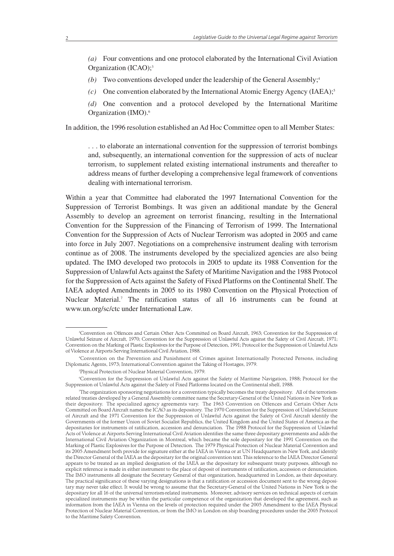*(a)* Four conventions and one protocol elaborated by the International Civil Aviation Organization (ICAO);<sup>3</sup>

*(b)* Two conventions developed under the leadership of the General Assembly;<sup>4</sup>

*(c)* One convention elaborated by the International Atomic Energy Agency (IAEA);<sup>5</sup>

*(d)* One convention and a protocol developed by the International Maritime Organization (IMO).6

In addition, the 1996 resolution established an Ad Hoc Committee open to all Member States:

. . . to elaborate an international convention for the suppression of terrorist bombings and, subsequently, an international convention for the suppression of acts of nuclear terrorism, to supplement related existing international instruments and thereafter to address means of further developing a comprehensive legal framework of conventions dealing with international terrorism.

Within a year that Committee had elaborated the 1997 International Convention for the Suppression of Terrorist Bombings. It was given an additional mandate by the General Assembly to develop an agreement on terrorist financing, resulting in the International Convention for the Suppression of the Financing of Terrorism of 1999. The International Convention for the Suppression of Acts of Nuclear Terrorism was adopted in 2005 and came into force in July 2007. Negotiations on a comprehensive instrument dealing with terrorism continue as of 2008. The instruments developed by the specialized agencies are also being updated. The IMO developed two protocols in 2005 to update its 1988 Convention for the Suppression of Unlawful Acts against the Safety of Maritime Navigation and the 1988 Protocol for the Suppression of Acts against the Safety of Fixed Platforms on the Continental Shelf. The IAEA adopted Amendments in 2005 to its 1980 Convention on the Physical Protection of Nuclear Material.<sup>7</sup> The ratification status of all 16 instruments can be found at www.un.org/sc/ctc under International Law.

<sup>3</sup> Convention on Offences and Certain Other Acts Committed on Board Aircraft, 1963; Convention for the Suppression of Unlawful Seizure of Aircraft, 1970; Convention for the Suppression of Unlawful Acts against the Safety of Civil Aircraft, 1971; Convention on the Marking of Plastic Explosives for the Purpose of Detection, 1991; Protocol for the Suppression of Unlawful Acts of Violence at Airports Serving International Civil Aviation, 1988.

<sup>4</sup> Convention on the Prevention and Punishment of Crimes against Internationally Protected Persons, including Diplomatic Agents, 1973; International Convention against the Taking of Hostages, 1979.

<sup>5</sup> Physical Protection of Nuclear Material Convention, 1979.

<sup>6</sup> Convention for the Suppression of Unlawful Acts against the Safety of Maritime Navigation, 1988; Protocol for the Suppression of Unlawful Acts against the Safety of Fixed Platforms located on the Continental shelf, 1988.

<sup>7</sup> The organization sponsoring negotiations for a convention typically becomes the treaty depository. All of the terrorismrelated treaties developed by a General Assembly committee name the Secretary-General of the United Nations in New York as their depository. The specialized agency agreements vary. The 1963 Convention on Offences and Certain Other Acts Committed on Board Aircraft names the ICAO as its depository. The 1970 Convention for the Suppression of Unlawful Seizure of Aircraft and the 1971 Convention for the Suppression of Unlawful Acts against the Safety of Civil Aircraft identify the Governments of the former Union of Soviet Socialist Republics, the United Kingdom and the United States of America as the depositaries for instruments of ratification, accession and denunciation. The 1988 Protocol for the Suppression of Unlawful Acts of Violence at Airports Serving International Civil Aviation identifies the same three depositary governments and adds the International Civil Aviation Organization in Montreal, which became the sole depositary for the 1991 Convention on the Marking of Plastic Explosives for the Purpose of Detection. The 1979 Physical Protection of Nuclear Material Convention and its 2005 Amendment both provide for signature either at the IAEA in Vienna or at UN Headquarters in New York, and identify the Director General of the IAEA as the depositary for the original convention text. This reference to the IAEA Director General appears to be treated as an implied designation of the IAEA as the depositary for subsequent treaty purposes, although no explicit reference is made in either instrument to the place of deposit of instruments of ratification, accession or denunciation. The IMO instruments all designate the Secretary General of that organization, headquartered in London, as their depositary. The practical significance of these varying designations is that a ratification or accession document sent to the wrong depositary may never take effect. It would be wrong to assume that the Secretary-General of the United Nations in New York is the depositary for all 16 of the universal terrorism-related instruments. Moreover, advisory services on technical aspects of certain specialized instruments may be within the particular competence of the organization that developed the agreement, such as information from the IAEA in Vienna on the levels of protection required under the 2005 Amendment to the IAEA Physical Protection of Nuclear Material Convention, or from the IMO in London on ship boarding procedures under the 2005 Protocol to the Maritime Safety Convention.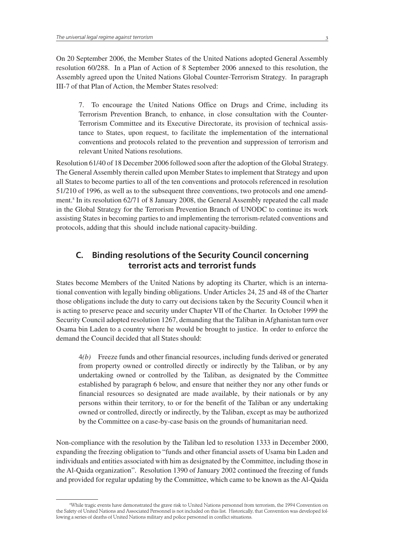On 20 September 2006, the Member States of the United Nations adopted General Assembly resolution 60/288. In a Plan of Action of 8 September 2006 annexed to this resolution, the Assembly agreed upon the United Nations Global Counter-Terrorism Strategy. In paragraph III-7 of that Plan of Action, the Member States resolved:

7.—To encourage the United Nations Office on Drugs and Crime, including its Terrorism Prevention Branch, to enhance, in close consultation with the Counter-Terrorism Committee and its Executive Directorate, its provision of technical assistance to States, upon request, to facilitate the implementation of the international conventions and protocols related to the prevention and suppression of terrorism and relevant United Nations resolutions.

Resolution 61/40 of 18 December 2006 followed soon after the adoption of the Global Strategy. The General Assembly therein called upon Member States to implement that Strategy and upon all States to become parties to all of the ten conventions and protocols referenced in resolution 51/210 of 1996, as well as to the subsequent three conventions, two protocols and one amendment.8 In its resolution 62/71 of 8 January 2008, the General Assembly repeated the call made in the Global Strategy for the Terrorism Prevention Branch of UNODC to continue its work assisting States in becoming parties to and implementing the terrorism-related conventions and protocols, adding that this should include national capacity-building.

# **C.—Binding resolutions of the Security Council concerning terrorist acts and terrorist funds**

States become Members of the United Nations by adopting its Charter, which is an international convention with legally binding obligations. Under Articles 24, 25 and 48 of the Charter those obligations include the duty to carry out decisions taken by the Security Council when it is acting to preserve peace and security under Chapter VII of the Charter. In October 1999 the Security Council adopted resolution 1267, demanding that the Taliban in Afghanistan turn over Osama bin Laden to a country where he would be brought to justice. In order to enforce the demand the Council decided that all States should:

4*(b)*—Freeze funds and other financial resources, including funds derived or generated from property owned or controlled directly or indirectly by the Taliban, or by any undertaking owned or controlled by the Taliban, as designated by the Committee established by paragraph 6 below, and ensure that neither they nor any other funds or financial resources so designated are made available, by their nationals or by any persons within their territory, to or for the benefit of the Taliban or any undertaking owned or controlled, directly or indirectly, by the Taliban, except as may be authorized by the Committee on a case-by-case basis on the grounds of humanitarian need.

Non-compliance with the resolution by the Taliban led to resolution 1333 in December 2000, expanding the freezing obligation to "funds and other financial assets of Usama bin Laden and individuals and entities associated with him as designated by the Committee, including those in the Al-Qaida organization". Resolution 1390 of January 2002 continued the freezing of funds and provided for regular updating by the Committee, which came to be known as the Al-Qaida

<sup>8</sup> While tragic events have demonstrated the grave risk to United Nations personnel from terrorism, the 1994 Convention on the Safety of United Nations and Associated Personnel is not included on this list. Historically, that Convention was developed following a series of deaths of United Nations military and police personnel in conflict situations.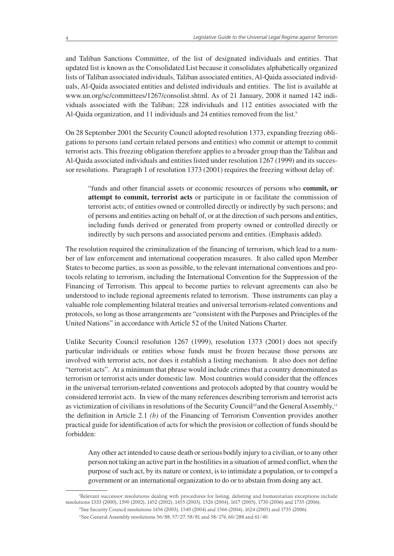and Taliban Sanctions Committee, of the list of designated individuals and entities. That updated list is known as the Consolidated List because it consolidates alphabetically organized lists of Taliban associated individuals, Taliban associated entities, Al-Qaida associated individuals, Al-Qaida associated entities and delisted individuals and entities. The list is available at www.un.org/sc/committees/1267/consolist.shtml. As of 21 January, 2008 it named 142 individuals associated with the Taliban; 228 individuals and 112 entities associated with the Al-Qaida organization, and 11 individuals and 24 entities removed from the list.<sup>9</sup>

On 28 September 2001 the Security Council adopted resolution 1373, expanding freezing obligations to persons (and certain related persons and entities) who commit or attempt to commit terrorist acts. This freezing obligation therefore applies to a broader group than the Taliban and Al-Qaida associated individuals and entities listed under resolution 1267 (1999) and its successor resolutions. Paragraph 1 of resolution 1373 (2001) requires the freezing without delay of:

"funds and other financial assets or economic resources of persons who **commit, or attempt to commit, terrorist acts** or participate in or facilitate the commission of terrorist acts; of entities owned or controlled directly or indirectly by such persons; and of persons and entities acting on behalf of, or at the direction of such persons and entities, including funds derived or generated from property owned or controlled directly or indirectly by such persons and associated persons and entities. (Emphasis added).

The resolution required the criminalization of the financing of terrorism, which lead to a number of law enforcement and international cooperation measures. It also called upon Member States to become parties, as soon as possible, to the relevant international conventions and protocols relating to terrorism, including the International Convention for the Suppression of the Financing of Terrorism. This appeal to become parties to relevant agreements can also be understood to include regional agreements related to terrorism. Those instruments can play a valuable role complementing bilateral treaties and universal terrorism-related conventions and protocols, so long as those arrangements are "consistent with the Purposes and Principles of the United Nations" in accordance with Article 52 of the United Nations Charter.

Unlike Security Council resolution 1267 (1999), resolution 1373 (2001) does not specify particular individuals or entities whose funds must be frozen because those persons are involved with terrorist acts, nor does it establish a listing mechanism. It also does not define "terrorist acts". At a minimum that phrase would include crimes that a country denominated as terrorism or terrorist acts under domestic law. Most countries would consider that the offences in the universal terrorism-related conventions and protocols adopted by that country would be considered terrorist acts. In view of the many references describing terrorism and terrorist acts as victimization of civilians in resolutions of the Security Council<sup>10</sup> and the General Assembly,<sup>11</sup> the definition in Article 2.1 *(b)* of the Financing of Terrorism Convention provides another practical guide for identification of acts for which the provision or collection of funds should be forbidden:

Any other act intended to cause death or serious bodily injury to a civilian, or to any other person not taking an active part in the hostilities in a situation of armed conflict, when the purpose of such act, by its nature or context, is to intimidate a population, or to compel a government or an international organization to do or to abstain from doing any act.

<sup>9</sup> Relevant successor resolutions dealing with procedures for listing, delisting and humanitarian exceptions include resolutions 1333 (2000), 1390 (2002), 1452 (2002), 1455 (2003), 1526 (2004), 1617 (2005), 1730 (2006) and 1735 (2006).

<sup>&</sup>lt;sup>10</sup>See Security Council resolutions 1456 (2003), 1540 (2004) and 1566 (2004), 1624 (2005) and 1735 (2006).

<sup>&</sup>lt;sup>11</sup>See General Assembly resolutions 56/88, 57/27, 58/81 and 58/174, 60/288 and 61/40.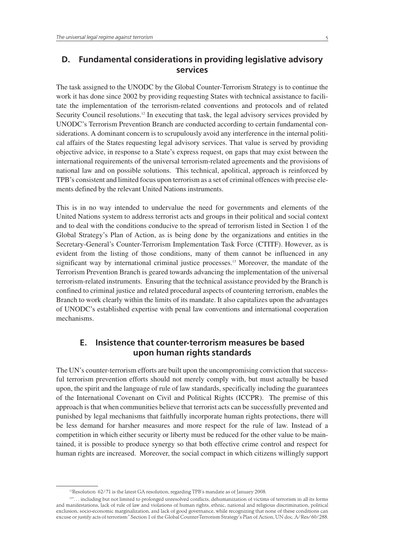# **D.—Fundamental considerations in providing legislative advisory services**

The task assigned to the UNODC by the Global Counter-Terrorism Strategy is to continue the work it has done since 2002 by providing requesting States with technical assistance to facilitate the implementation of the terrorism-related conventions and protocols and of related Security Council resolutions.<sup>12</sup> In executing that task, the legal advisory services provided by UNODC's Terrorism Prevention Branch are conducted according to certain fundamental considerations. A dominant concern is to scrupulously avoid any interference in the internal political affairs of the States requesting legal advisory services. That value is served by providing objective advice, in response to a State's express request, on gaps that may exist between the international requirements of the universal terrorism-related agreements and the provisions of national law and on possible solutions. This technical, apolitical, approach is reinforced by TPB's consistent and limited focus upon terrorism as a set of criminal offences with precise elements defined by the relevant United Nations instruments.

This is in no way intended to undervalue the need for governments and elements of the United Nations system to address terrorist acts and groups in their political and social context and to deal with the conditions conducive to the spread of terrorism listed in Section 1 of the Global Strategy's Plan of Action, as is being done by the organizations and entities in the Secretary-General's Counter-Terrorism Implementation Task Force (CTITF). However, as is evident from the listing of those conditions, many of them cannot be influenced in any significant way by international criminal justice processes.13 Moreover, the mandate of the Terrorism Prevention Branch is geared towards advancing the implementation of the universal terrorism-related instruments. Ensuring that the technical assistance provided by the Branch is confined to criminal justice and related procedural aspects of countering terrorism, enables the Branch to work clearly within the limits of its mandate. It also capitalizes upon the advantages of UNODC's established expertise with penal law conventions and international cooperation mechanisms.

## **E.—Insistence that counter-terrorism measures be based upon human rights standards**

The UN's counter-terrorism efforts are built upon the uncompromising conviction that successful terrorism prevention efforts should not merely comply with, but must actually be based upon, the spirit and the language of rule of law standards, specifically including the guarantees of the International Covenant on Civil and Political Rights (ICCPR). The premise of this approach is that when communities believe that terrorist acts can be successfully prevented and punished by legal mechanisms that faithfully incorporate human rights protections, there will be less demand for harsher measures and more respect for the rule of law. Instead of a competition in which either security or liberty must be reduced for the other value to be maintained, it is possible to produce synergy so that both effective crime control and respect for human rights are increased. Moreover, the social compact in which citizens willingly support

<sup>&</sup>lt;sup>12</sup>Resolution 62/71 is the latest GA resolution, regarding TPB's mandate as of January 2008.

<sup>13&</sup>quot;... including but not limited to prolonged unresolved conflicts, dehumanization of victims of terrorism in all its forms and manifestations, lack of rule of law and violations of human rights, ethnic, national and religious discrimination, political exclusion, socio-economic marginalization, and lack of good governance, while recognizing that none of these conditions can excuse or justify acts of terrorism:" Section 1 of the Global Counter-Terrorism Strategy's Plan of Action, UN doc. A/Res/60/288.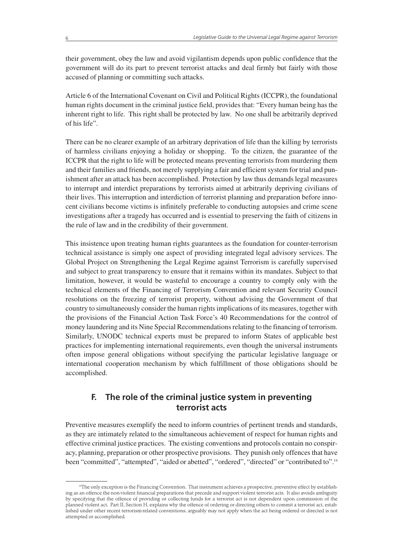their government, obey the law and avoid vigilantism depends upon public confidence that the government will do its part to prevent terrorist attacks and deal firmly but fairly with those accused of planning or committing such attacks.

Article 6 of the International Covenant on Civil and Political Rights (ICCPR), the foundational human rights document in the criminal justice field, provides that: "Every human being has the inherent right to life. This right shall be protected by law. No one shall be arbitrarily deprived of his life".

There can be no clearer example of an arbitrary deprivation of life than the killing by terrorists of harmless civilians enjoying a holiday or shopping. To the citizen, the guarantee of the ICCPR that the right to life will be protected means preventing terrorists from murdering them and their families and friends, not merely supplying a fair and efficient system for trial and punishment after an attack has been accomplished. Protection by law thus demands legal measures to interrupt and interdict preparations by terrorists aimed at arbitrarily depriving civilians of their lives. This interruption and interdiction of terrorist planning and preparation before innocent civilians become victims is infinitely preferable to conducting autopsies and crime scene investigations after a tragedy has occurred and is essential to preserving the faith of citizens in the rule of law and in the credibility of their government.

This insistence upon treating human rights guarantees as the foundation for counter-terrorism technical assistance is simply one aspect of providing integrated legal advisory services. The Global Project on Strengthening the Legal Regime against Terrorism is carefully supervised and subject to great transparency to ensure that it remains within its mandates. Subject to that limitation, however, it would be wasteful to encourage a country to comply only with the technical elements of the Financing of Terrorism Convention and relevant Security Council resolutions on the freezing of terrorist property, without advising the Government of that country to simultaneously consider the human rights implications of its measures, together with the provisions of the Financial Action Task Force's 40 Recommendations for the control of money laundering and its Nine Special Recommendations relating to the financing of terrorism. Similarly, UNODC technical experts must be prepared to inform States of applicable best practices for implementing international requirements, even though the universal instruments often impose general obligations without specifying the particular legislative language or international cooperation mechanism by which fulfillment of those obligations should be accomplished.

# **F.—The role of the criminal justice system in preventing terrorist acts**

Preventive measures exemplify the need to inform countries of pertinent trends and standards, as they are intimately related to the simultaneous achievement of respect for human rights and effective criminal justice practices. The existing conventions and protocols contain no conspiracy, planning, preparation or other prospective provisions. They punish only offences that have been "committed", "attempted", "aided or abetted", "ordered", "directed" or "contributed to".<sup>14</sup>

<sup>&</sup>lt;sup>14</sup>The only exception is the Financing Convention. That instrument achieves a prospective, preventive effect by establishing as an offence the non-violent financial preparations that precede and support violent terrorist acts. It also avoids ambiguity by specifying that the offence of providing or collecting funds for a terrorist act is not dependent upon commission of the planned violent act. Part II, Section H, explains why the offence of ordering or directing others to commit a terrorist act, established under other recent terrorism-related conventions, arguably may not apply when the act being ordered or directed is not attempted or accomplished.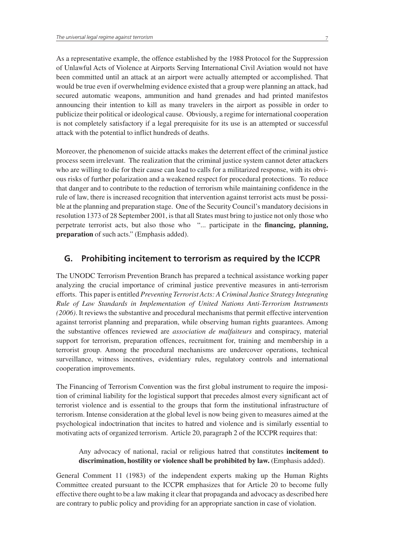As a representative example, the offence established by the 1988 Protocol for the Suppression of Unlawful Acts of Violence at Airports Serving International Civil Aviation would not have been committed until an attack at an airport were actually attempted or accomplished. That would be true even if overwhelming evidence existed that a group were planning an attack, had secured automatic weapons, ammunition and hand grenades and had printed manifestos announcing their intention to kill as many travelers in the airport as possible in order to publicize their political or ideological cause. Obviously, a regime for international cooperation is not completely satisfactory if a legal prerequisite for its use is an attempted or successful attack with the potential to inflict hundreds of deaths.

Moreover, the phenomenon of suicide attacks makes the deterrent effect of the criminal justice process seem irrelevant. The realization that the criminal justice system cannot deter attackers who are willing to die for their cause can lead to calls for a militarized response, with its obvious risks of further polarization and a weakened respect for procedural protections. To reduce that danger and to contribute to the reduction of terrorism while maintaining confidence in the rule of law, there is increased recognition that intervention against terrorist acts must be possible at the planning and preparation stage. One of the Security Council's mandatory decisions in resolution 1373 of 28 September 2001, is that all States must bring to justice not only those who perpetrate terrorist acts, but also those who "... participate in the **financing, planning, preparation** of such acts." (Emphasis added).

#### **G.—Prohibiting incitement to terrorism as required by the ICCPR**

The UNODC Terrorism Prevention Branch has prepared a technical assistance working paper analyzing the crucial importance of criminal justice preventive measures in anti-terrorism efforts. This paper is entitled *Preventing Terrorist Acts: A Criminal Justice Strategy Integrating Rule of Law Standards in Implementation of United Nations Anti-Terrorism Instruments (2006)*. It reviews the substantive and procedural mechanisms that permit effective intervention against terrorist planning and preparation, while observing human rights guarantees. Among the substantive offences reviewed are *association de malfaiteurs* and conspiracy, material support for terrorism, preparation offences, recruitment for, training and membership in a terrorist group. Among the procedural mechanisms are undercover operations, technical surveillance, witness incentives, evidentiary rules, regulatory controls and international cooperation improvements.

The Financing of Terrorism Convention was the first global instrument to require the imposition of criminal liability for the logistical support that precedes almost every significant act of terrorist violence and is essential to the groups that form the institutional infrastructure of terrorism. Intense consideration at the global level is now being given to measures aimed at the psychological indoctrination that incites to hatred and violence and is similarly essential to motivating acts of organized terrorism. Article 20, paragraph 2 of the ICCPR requires that:

#### Any advocacy of national, racial or religious hatred that constitutes **incitement to discrimination, hostility or violence shall be prohibited by law.** (Emphasis added).

General Comment 11 (1983) of the independent experts making up the Human Rights Committee created pursuant to the ICCPR emphasizes that for Article 20 to become fully effective there ought to be a law making it clear that propaganda and advocacy as described here are contrary to public policy and providing for an appropriate sanction in case of violation.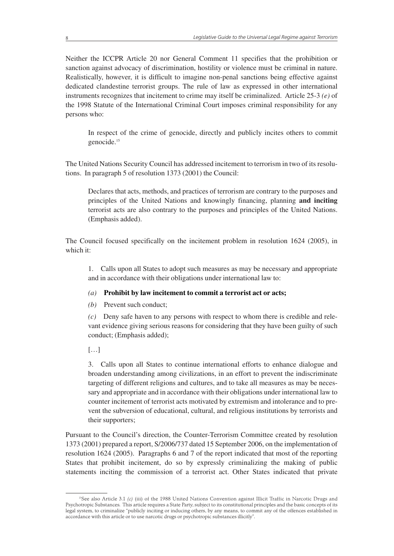Neither the ICCPR Article 20 nor General Comment 11 specifies that the prohibition or sanction against advocacy of discrimination, hostility or violence must be criminal in nature. Realistically, however, it is difficult to imagine non-penal sanctions being effective against dedicated clandestine terrorist groups. The rule of law as expressed in other international instruments recognizes that incitement to crime may itself be criminalized. Article 25-3 *(e)* of the 1998 Statute of the International Criminal Court imposes criminal responsibility for any persons who:

In respect of the crime of genocide, directly and publicly incites others to commit genocide.15

The United Nations Security Council has addressed incitement to terrorism in two of its resolutions. In paragraph 5 of resolution 1373 (2001) the Council:

Declares that acts, methods, and practices of terrorism are contrary to the purposes and principles of the United Nations and knowingly financing, planning **and inciting** terrorist acts are also contrary to the purposes and principles of the United Nations. (Emphasis added).

The Council focused specifically on the incitement problem in resolution 1624 (2005), in which it:

1. Calls upon all States to adopt such measures as may be necessary and appropriate and in accordance with their obligations under international law to:

#### *(a)*—**Prohibit by law incitement to commit a terrorist act or acts;**

*(b)*—Prevent such conduct;

*(c)*—Deny safe haven to any persons with respect to whom there is credible and relevant evidence giving serious reasons for considering that they have been guilty of such conduct; (Emphasis added);

[…]

3.—Calls upon all States to continue international efforts to enhance dialogue and broaden understanding among civilizations, in an effort to prevent the indiscriminate targeting of different religions and cultures, and to take all measures as may be necessary and appropriate and in accordance with their obligations under international law to counter incitement of terrorist acts motivated by extremism and intolerance and to prevent the subversion of educational, cultural, and religious institutions by terrorists and their supporters;

Pursuant to the Council's direction, the Counter-Terrorism Committee created by resolution 1373 (2001) prepared a report, S/2006/737 dated 15 September 2006, on the implementation of resolution 1624 (2005). Paragraphs 6 and 7 of the report indicated that most of the reporting States that prohibit incitement, do so by expressly criminalizing the making of public statements inciting the commission of a terrorist act. Other States indicated that private

<sup>&</sup>lt;sup>15</sup>See also Article 3.1 *(c)* (iii) of the 1988 United Nations Convention against Illicit Traffic in Narcotic Drugs and Psychotropic Substances. This article requires a State Party, subject to its constitutional principles and the basic concepts of its legal system, to criminalize "publicly inciting or inducing others, by any means, to commit any of the offences established in accordance with this article or to use narcotic drugs or psychotropic substances illicitly".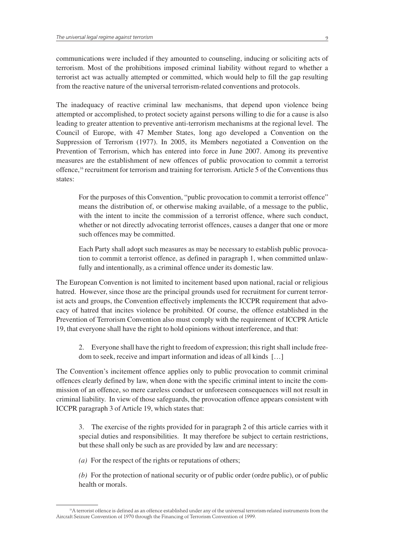communications were included if they amounted to counseling, inducing or soliciting acts of terrorism. Most of the prohibitions imposed criminal liability without regard to whether a terrorist act was actually attempted or committed, which would help to fill the gap resulting from the reactive nature of the universal terrorism-related conventions and protocols.

The inadequacy of reactive criminal law mechanisms, that depend upon violence being attempted or accomplished, to protect society against persons willing to die for a cause is also leading to greater attention to preventive anti-terrorism mechanisms at the regional level. The Council of Europe, with 47 Member States, long ago developed a Convention on the Suppression of Terrorism (1977). In 2005, its Members negotiated a Convention on the Prevention of Terrorism, which has entered into force in June 2007. Among its preventive measures are the establishment of new offences of public provocation to commit a terrorist offence,<sup>16</sup> recruitment for terrorism and training for terrorism. Article 5 of the Conventions thus states:

For the purposes of this Convention, "public provocation to commit a terrorist offence" means the distribution of, or otherwise making available, of a message to the public, with the intent to incite the commission of a terrorist offence, where such conduct, whether or not directly advocating terrorist offences, causes a danger that one or more such offences may be committed.

Each Party shall adopt such measures as may be necessary to establish public provocation to commit a terrorist offence, as defined in paragraph 1, when committed unlawfully and intentionally, as a criminal offence under its domestic law.

The European Convention is not limited to incitement based upon national, racial or religious hatred. However, since those are the principal grounds used for recruitment for current terrorist acts and groups, the Convention effectively implements the ICCPR requirement that advocacy of hatred that incites violence be prohibited. Of course, the offence established in the Prevention of Terrorism Convention also must comply with the requirement of ICCPR Article 19, that everyone shall have the right to hold opinions without interference, and that:

2.—Everyone shall have the right to freedom of expression; this right shall include freedom to seek, receive and impart information and ideas of all kinds […]

The Convention's incitement offence applies only to public provocation to commit criminal offences clearly defined by law, when done with the specific criminal intent to incite the commission of an offence, so mere careless conduct or unforeseen consequences will not result in criminal liability. In view of those safeguards, the provocation offence appears consistent with ICCPR paragraph 3 of Article 19, which states that:

3.—The exercise of the rights provided for in paragraph 2 of this article carries with it special duties and responsibilities. It may therefore be subject to certain restrictions, but these shall only be such as are provided by law and are necessary:

*(a)* For the respect of the rights or reputations of others;

*(b)* For the protection of national security or of public order (ordre public), or of public health or morals.

<sup>&</sup>lt;sup>16</sup>A terrorist offence is defined as an offence established under any of the universal terrorism-related instruments from the Aircraft Seizure Convention of 1970 through the Financing of Terrorism Convention of 1999.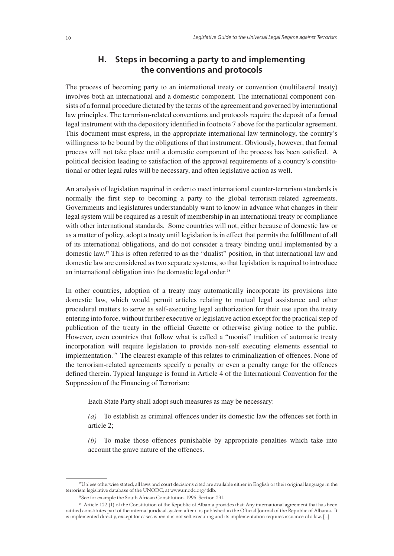## **H.—Steps in becoming a party to and implementing the conventions and protocols**

The process of becoming party to an international treaty or convention (multilateral treaty) involves both an international and a domestic component. The international component consists of a formal procedure dictated by the terms of the agreement and governed by international law principles. The terrorism-related conventions and protocols require the deposit of a formal legal instrument with the depository identified in footnote 7 above for the particular agreement. This document must express, in the appropriate international law terminology, the country's willingness to be bound by the obligations of that instrument. Obviously, however, that formal process will not take place until a domestic component of the process has been satisfied. A political decision leading to satisfaction of the approval requirements of a country's constitutional or other legal rules will be necessary, and often legislative action as well.

An analysis of legislation required in order to meet international counter-terrorism standards is normally the first step to becoming a party to the global terrorism-related agreements. Governments and legislatures understandably want to know in advance what changes in their legal system will be required as a result of membership in an international treaty or compliance with other international standards. Some countries will not, either because of domestic law or as a matter of policy, adopt a treaty until legislation is in effect that permits the fulfillment of all of its international obligations, and do not consider a treaty binding until implemented by a domestic law.17 This is often referred to as the "dualist" position, in that international law and domestic law are considered as two separate systems, so that legislation is required to introduce an international obligation into the domestic legal order.<sup>18</sup>

In other countries, adoption of a treaty may automatically incorporate its provisions into domestic law, which would permit articles relating to mutual legal assistance and other procedural matters to serve as self-executing legal authorization for their use upon the treaty entering into force, without further executive or legislative action except for the practical step of publication of the treaty in the official Gazette or otherwise giving notice to the public. However, even countries that follow what is called a "monist" tradition of automatic treaty incorporation will require legislation to provide non-self executing elements essential to implementation.19 The clearest example of this relates to criminalization of offences. None of the terrorism-related agreements specify a penalty or even a penalty range for the offences defined therein. Typical language is found in Article 4 of the International Convention for the Suppression of the Financing of Terrorism:

Each State Party shall adopt such measures as may be necessary:

*(a)*—To establish as criminal offences under its domestic law the offences set forth in article 2;

*(b)*—To make those offences punishable by appropriate penalties which take into account the grave nature of the offences.

<sup>&</sup>lt;sup>17</sup>Unless otherwise stated, all laws and court decisions cited are available either in English or their original language in the terrorism legislative database of the UNODC, at www.unodc.org/tldb.

<sup>&</sup>lt;sup>18</sup>See for example the South African Constitution. 1996, Section 231.

<sup>&</sup>lt;sup>19</sup> Article 122 (1) of the Constitution of the Republic of Albania provides that: Any international agreement that has been ratified constitutes part of the internal juridical system after it is published in the Official Journal of the Republic of Albania. It is implemented directly, except for cases when it is not self-executing and its implementation requires issuance of a law. […]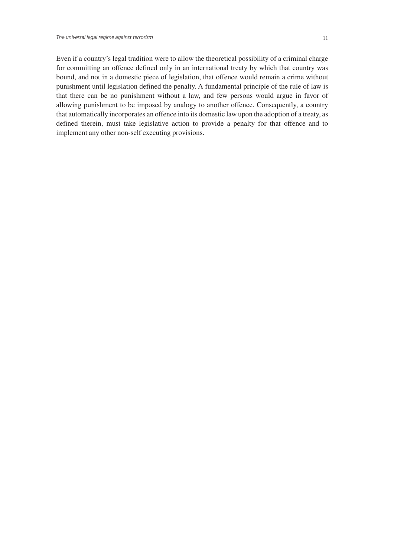Even if a country's legal tradition were to allow the theoretical possibility of a criminal charge for committing an offence defined only in an international treaty by which that country was bound, and not in a domestic piece of legislation, that offence would remain a crime without punishment until legislation defined the penalty. A fundamental principle of the rule of law is that there can be no punishment without a law, and few persons would argue in favor of allowing punishment to be imposed by analogy to another offence. Consequently, a country that automatically incorporates an offence into its domestic law upon the adoption of a treaty, as defined therein, must take legislative action to provide a penalty for that offence and to implement any other non-self executing provisions.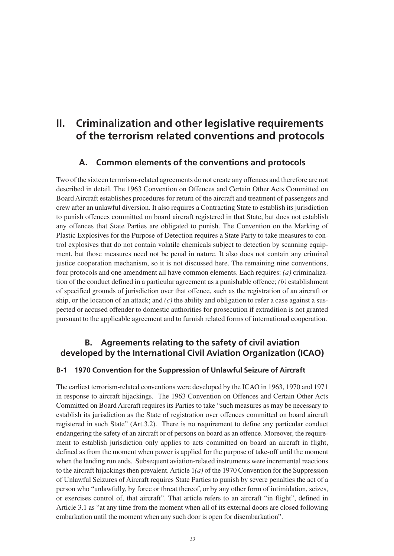# **II. Criminalization and other legislative requirements of the terrorism related conventions and protocols**

#### **A.—Common elements of the conventions and protocols**

Two of the sixteen terrorism-related agreements do not create any offences and therefore are not described in detail. The 1963 Convention on Offences and Certain Other Acts Committed on Board Aircraft establishes procedures for return of the aircraft and treatment of passengers and crew after an unlawful diversion. It also requires a Contracting State to establish its jurisdiction to punish offences committed on board aircraft registered in that State, but does not establish any offences that State Parties are obligated to punish. The Convention on the Marking of Plastic Explosives for the Purpose of Detection requires a State Party to take measures to control explosives that do not contain volatile chemicals subject to detection by scanning equipment, but those measures need not be penal in nature. It also does not contain any criminal justice cooperation mechanism, so it is not discussed here. The remaining nine conventions, four protocols and one amendment all have common elements. Each requires: *(a)* criminalization of the conduct defined in a particular agreement as a punishable offence; *(b)* establishment of specified grounds of jurisdiction over that offence, such as the registration of an aircraft or ship, or the location of an attack; and *(c)* the ability and obligation to refer a case against a suspected or accused offender to domestic authorities for prosecution if extradition is not granted pursuant to the applicable agreement and to furnish related forms of international cooperation.

## **B.—Agreements relating to the safety of civil aviation developed by the International Civil Aviation Organization (ICAO)**

#### **B-1—1970 Convention for the Suppression of Unlawful Seizure of Aircraft**

The earliest terrorism-related conventions were developed by the ICAO in 1963, 1970 and 1971 in response to aircraft hijackings. The 1963 Convention on Offences and Certain Other Acts Committed on Board Aircraft requires its Parties to take "such measures as may be necessary to establish its jurisdiction as the State of registration over offences committed on board aircraft registered in such State" (Art.3.2). There is no requirement to define any particular conduct endangering the safety of an aircraft or of persons on board as an offence. Moreover, the requirement to establish jurisdiction only applies to acts committed on board an aircraft in flight, defined as from the moment when power is applied for the purpose of take-off until the moment when the landing run ends. Subsequent aviation-related instruments were incremental reactions to the aircraft hijackings then prevalent. Article 1*(a)* of the 1970 Convention for the Suppression of Unlawful Seizures of Aircraft requires State Parties to punish by severe penalties the act of a person who "unlawfully, by force or threat thereof, or by any other form of intimidation, seizes, or exercises control of, that aircraft". That article refers to an aircraft "in flight", defined in Article 3.1 as "at any time from the moment when all of its external doors are closed following embarkation until the moment when any such door is open for disembarkation".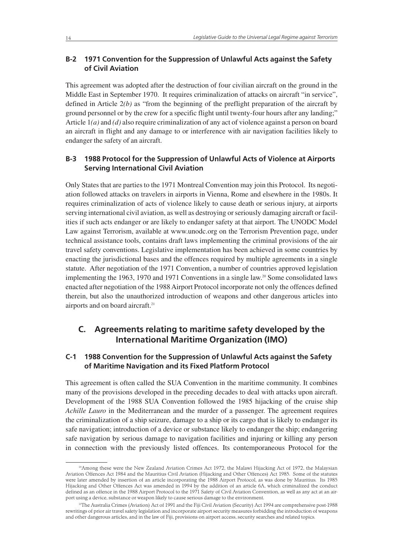#### **B-2 1971 Convention for the Suppression of Unlawful Acts against the Safety of Civil Aviation**

This agreement was adopted after the destruction of four civilian aircraft on the ground in the Middle East in September 1970. It requires criminalization of attacks on aircraft "in service", defined in Article 2*(b)* as "from the beginning of the preflight preparation of the aircraft by ground personnel or by the crew for a specific flight until twenty-four hours after any landing;" Article 1*(a)* and *(d)* also require criminalization of any act of violence against a person on board an aircraft in flight and any damage to or interference with air navigation facilities likely to endanger the safety of an aircraft.

#### **B-3 1988 Protocol for the Suppression of Unlawful Acts of Violence at Airports Serving International Civil Aviation**

Only States that are parties to the 1971 Montreal Convention may join this Protocol. Its negotiation followed attacks on travelers in airports in Vienna, Rome and elsewhere in the 1980s. It requires criminalization of acts of violence likely to cause death or serious injury, at airports serving international civil aviation, as well as destroying or seriously damaging aircraft or facilities if such acts endanger or are likely to endanger safety at that airport. The UNODC Model Law against Terrorism, available at www.unodc.org on the Terrorism Prevention page, under technical assistance tools, contains draft laws implementing the criminal provisions of the air travel safety conventions. Legislative implementation has been achieved in some countries by enacting the jurisdictional bases and the offences required by multiple agreements in a single statute. After negotiation of the 1971 Convention, a number of countries approved legislation implementing the 1963, 1970 and 1971 Conventions in a single law.<sup>20</sup> Some consolidated laws enacted after negotiation of the 1988 Airport Protocol incorporate not only the offences defined therein, but also the unauthorized introduction of weapons and other dangerous articles into airports and on board aircraft.<sup>21</sup>

# **C.—Agreements relating to maritime safety developed by the International Maritime Organization (IMO)**

#### **C-1 1988 Convention for the Suppression of Unlawful Acts against the Safety of Maritime Navigation and its Fixed Platform Protocol**

This agreement is often called the SUA Convention in the maritime community. It combines many of the provisions developed in the preceding decades to deal with attacks upon aircraft. Development of the 1988 SUA Convention followed the 1985 hijacking of the cruise ship *Achille Lauro* in the Mediterranean and the murder of a passenger. The agreement requires the criminalization of a ship seizure, damage to a ship or its cargo that is likely to endanger its safe navigation; introduction of a device or substance likely to endanger the ship; endangering safe navigation by serious damage to navigation facilities and injuring or killing any person in connection with the previously listed offences. Its contemporaneous Protocol for the

<sup>20</sup>Among these were the New Zealand Aviation Crimes Act 1972, the Malawi Hijacking Act of 1972, the Malaysian Aviation Offences Act 1984 and the Mauritius Civil Aviation (Hijacking and Other Offences) Act 1985. Some of the statutes were later amended by insertion of an article incorporating the 1988 Airport Protocol, as was done by Mauritius. Its 1985 Hijacking and Other Offences Act was amended in 1994 by the addition of an article 6A, which criminalized the conduct defined as an offence in the 1988 Airport Protocol to the 1971 Safety of Civil Aviation Convention, as well as any act at an airport using a device, substance or weapon likely to cause serious damage to the environment.

<sup>21</sup>The Australia Crimes (Aviation) Act of 1991 and the Fiji Civil Aviation (Security) Act 1994 are comprehensive post-1988 rewritings of prior air travel safety legislation and incorporate airport security measures forbidding the introduction of weapons and other dangerous articles, and in the law of Fiji, provisions on airport access, security searches and related topics.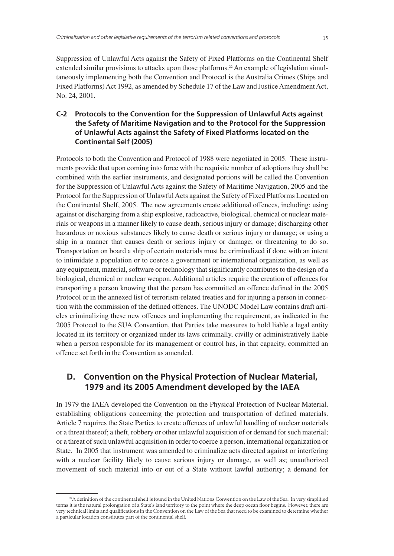Suppression of Unlawful Acts against the Safety of Fixed Platforms on the Continental Shelf extended similar provisions to attacks upon those platforms.<sup>22</sup> An example of legislation simultaneously implementing both the Convention and Protocol is the Australia Crimes (Ships and Fixed Platforms) Act 1992, as amended by Schedule 17 of the Law and Justice Amendment Act, No. 24, 2001.

#### **C-2 Protocols to the Convention for the Suppression of Unlawful Acts against the Safety of Maritime Navigation and to the Protocol for the Suppression of Unlawful Acts against the Safety of Fixed Platforms located on the Continental Self (2005)**

Protocols to both the Convention and Protocol of 1988 were negotiated in 2005. These instruments provide that upon coming into force with the requisite number of adoptions they shall be combined with the earlier instruments, and designated portions will be called the Convention for the Suppression of Unlawful Acts against the Safety of Maritime Navigation, 2005 and the Protocol for the Suppression of Unlawful Acts against the Safety of Fixed Platforms Located on the Continental Shelf, 2005. The new agreements create additional offences, including: using against or discharging from a ship explosive, radioactive, biological, chemical or nuclear materials or weapons in a manner likely to cause death, serious injury or damage; discharging other hazardous or noxious substances likely to cause death or serious injury or damage; or using a ship in a manner that causes death or serious injury or damage; or threatening to do so. Transportation on board a ship of certain materials must be criminalized if done with an intent to intimidate a population or to coerce a government or international organization, as well as any equipment, material, software or technology that significantly contributes to the design of a biological, chemical or nuclear weapon. Additional articles require the creation of offences for transporting a person knowing that the person has committed an offence defined in the 2005 Protocol or in the annexed list of terrorism-related treaties and for injuring a person in connection with the commission of the defined offences. The UNODC Model Law contains draft articles criminalizing these new offences and implementing the requirement, as indicated in the 2005 Protocol to the SUA Convention, that Parties take measures to hold liable a legal entity located in its territory or organized under its laws criminally, civilly or administratively liable when a person responsible for its management or control has, in that capacity, committed an offence set forth in the Convention as amended.

# **D.—Convention on the Physical Protection of Nuclear Material, 1979 and its 2005 Amendment developed by the IAEA**

In 1979 the IAEA developed the Convention on the Physical Protection of Nuclear Material, establishing obligations concerning the protection and transportation of defined materials. Article 7 requires the State Parties to create offences of unlawful handling of nuclear materials or a threat thereof; a theft, robbery or other unlawful acquisition of or demand for such material; or a threat of such unlawful acquisition in order to coerce a person, international organization or State. In 2005 that instrument was amended to criminalize acts directed against or interfering with a nuclear facility likely to cause serious injury or damage, as well as; unauthorized movement of such material into or out of a State without lawful authority; a demand for

<sup>&</sup>lt;sup>22</sup>A definition of the continental shelf is found in the United Nations Convention on the Law of the Sea. In very simplified terms it is the natural prolongation of a State's land territory to the point where the deep ocean floor begins. However, there are very technical limits and qualifications in the Convention on the Law of the Sea that need to be examined to determine whether a particular location constitutes part of the continental shelf.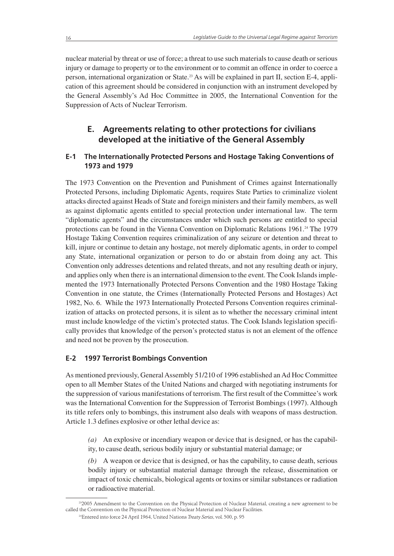nuclear material by threat or use of force; a threat to use such materials to cause death or serious injury or damage to property or to the environment or to commit an offence in order to coerce a person, international organization or State.23 As will be explained in part II, section E-4, application of this agreement should be considered in conjunction with an instrument developed by the General Assembly's Ad Hoc Committee in 2005, the International Convention for the Suppression of Acts of Nuclear Terrorism.

# **E.—Agreements relating to other protections for civilians developed at the initiative of the General Assembly**

#### **E-1 The Internationally Protected Persons and Hostage Taking Conventions of 1973 and 1979**

The 1973 Convention on the Prevention and Punishment of Crimes against Internationally Protected Persons, including Diplomatic Agents, requires State Parties to criminalize violent attacks directed against Heads of State and foreign ministers and their family members, as well as against diplomatic agents entitled to special protection under international law. The term "diplomatic agents" and the circumstances under which such persons are entitled to special protections can be found in the Vienna Convention on Diplomatic Relations 1961.24 The 1979 Hostage Taking Convention requires criminalization of any seizure or detention and threat to kill, injure or continue to detain any hostage, not merely diplomatic agents, in order to compel any State, international organization or person to do or abstain from doing any act. This Convention only addresses detentions and related threats, and not any resulting death or injury, and applies only when there is an international dimension to the event. The Cook Islands implemented the 1973 Internationally Protected Persons Convention and the 1980 Hostage Taking Convention in one statute, the Crimes (Internationally Protected Persons and Hostages) Act 1982, No. 6. While the 1973 Internationally Protected Persons Convention requires criminalization of attacks on protected persons, it is silent as to whether the necessary criminal intent must include knowledge of the victim's protected status. The Cook Islands legislation specifically provides that knowledge of the person's protected status is not an element of the offence and need not be proven by the prosecution.

#### **E-2 1997 Terrorist Bombings Convention**

As mentioned previously, General Assembly 51/210 of 1996 established an Ad Hoc Committee open to all Member States of the United Nations and charged with negotiating instruments for the suppression of various manifestations of terrorism. The first result of the Committee's work was the International Convention for the Suppression of Terrorist Bombings (1997). Although its title refers only to bombings, this instrument also deals with weapons of mass destruction. Article 1.3 defines explosive or other lethal device as:

*(a)* An explosive or incendiary weapon or device that is designed, or has the capability, to cause death, serious bodily injury or substantial material damage; or

*(b)* A weapon or device that is designed, or has the capability, to cause death, serious bodily injury or substantial material damage through the release, dissemination or impact of toxic chemicals, biological agents or toxins or similar substances or radiation or radioactive material.

<sup>&</sup>lt;sup>23</sup>2005 Amendment to the Convention on the Physical Protection of Nuclear Material, creating a new agreement to be called the Convention on the Physical Protection of Nuclear Material and Nuclear Facilities.

<sup>24</sup>Entered into force 24 April 1964, United Nations *Treaty Series*, vol. 500, p. 95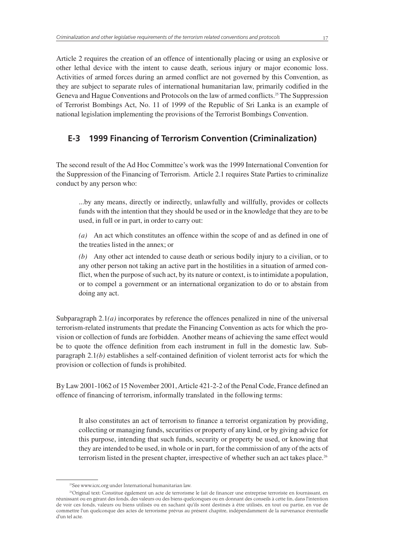Article 2 requires the creation of an offence of intentionally placing or using an explosive or other lethal device with the intent to cause death, serious injury or major economic loss. Activities of armed forces during an armed conflict are not governed by this Convention, as they are subject to separate rules of international humanitarian law, primarily codified in the Geneva and Hague Conventions and Protocols on the law of armed conflicts.25 The Suppression of Terrorist Bombings Act, No. 11 of 1999 of the Republic of Sri Lanka is an example of national legislation implementing the provisions of the Terrorist Bombings Convention.

# **E-3—1999 Financing of Terrorism Convention (Criminalization)**

The second result of the Ad Hoc Committee's work was the 1999 International Convention for the Suppression of the Financing of Terrorism. Article 2.1 requires State Parties to criminalize conduct by any person who:

...by any means, directly or indirectly, unlawfully and willfully, provides or collects funds with the intention that they should be used or in the knowledge that they are to be used, in full or in part, in order to carry out:

*(a)* An act which constitutes an offence within the scope of and as defined in one of the treaties listed in the annex; or

*(b)* Any other act intended to cause death or serious bodily injury to a civilian, or to any other person not taking an active part in the hostilities in a situation of armed conflict, when the purpose of such act, by its nature or context, is to intimidate a population, or to compel a government or an international organization to do or to abstain from doing any act.

Subparagraph 2.1*(a)* incorporates by reference the offences penalized in nine of the universal terrorism-related instruments that predate the Financing Convention as acts for which the provision or collection of funds are forbidden. Another means of achieving the same effect would be to quote the offence definition from each instrument in full in the domestic law. Subparagraph 2.1*(b)* establishes a self-contained definition of violent terrorist acts for which the provision or collection of funds is prohibited.

By Law 2001-1062 of 15 November 2001,Article 421-2-2 of the Penal Code, France defined an offence of financing of terrorism, informally translated in the following terms:

It also constitutes an act of terrorism to finance a terrorist organization by providing, collecting or managing funds, securities or property of any kind, or by giving advice for this purpose, intending that such funds, security or property be used, or knowing that they are intended to be used, in whole or in part, for the commission of any of the acts of terrorism listed in the present chapter, irrespective of whether such an act takes place.<sup>26</sup>

<sup>25</sup>See www.icrc.org under International humanitarian law.

<sup>26</sup>Original text: Constitue également un acte de terrorisme le fait de financer une entreprise terroriste en fournissant, en réunissant ou en gérant des fonds, des valeurs ou des biens quelconques ou en donnant des conseils à cette fin, dans l'intention de voir ces fonds, valeurs ou biens utilisés ou en sachant qu'ils sont destinés à être utilisés, en tout ou partie, en vue de commettre l'un quelconque des actes de terrorisme prévus au présent chapitre, indépendamment de la survenance éventuelle d'un tel acte.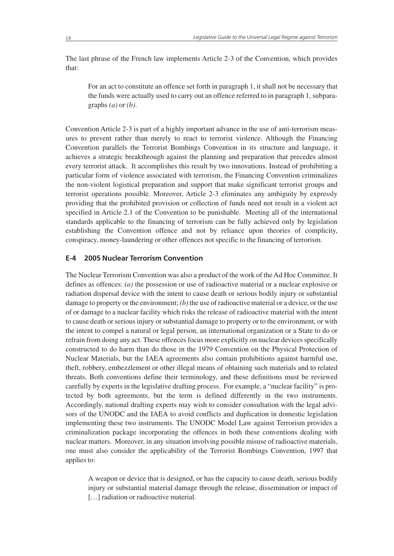The last phrase of the French law implements Article 2-3 of the Convention, which provides that:

For an act to constitute an offence set forth in paragraph 1, it shall not be necessary that the funds were actually used to carry out an offence referred to in paragraph 1, subparagraphs *(a)* or *(b)*.

Convention Article 2-3 is part of a highly important advance in the use of anti-terrorism measures to prevent rather than merely to react to terrorist violence. Although the Financing Convention parallels the Terrorist Bombings Convention in its structure and language, it achieves a strategic breakthrough against the planning and preparation that precedes almost every terrorist attack. It accomplishes this result by two innovations. Instead of prohibiting a particular form of violence associated with terrorism, the Financing Convention criminalizes the non-violent logistical preparation and support that make significant terrorist groups and terrorist operations possible. Moreover, Article 2-3 eliminates any ambiguity by expressly providing that the prohibited provision or collection of funds need not result in a violent act specified in Article 2.1 of the Convention to be punishable. Meeting all of the international standards applicable to the financing of terrorism can be fully achieved only by legislation establishing the Convention offence and not by reliance upon theories of complicity, conspiracy, money-laundering or other offences not specific to the financing of terrorism.

#### **E-4 2005 Nuclear Terrorism Convention**

The Nuclear Terrorism Convention was also a product of the work of the Ad Hoc Committee. It defines as offences: *(a)* the possession or use of radioactive material or a nuclear explosive or radiation dispersal device with the intent to cause death or serious bodily injury or substantial damage to property or the environment; *(b)* the use of radioactive material or a device, or the use of or damage to a nuclear facility which risks the release of radioactive material with the intent to cause death or serious injury or substantial damage to property or to the environment, or with the intent to compel a natural or legal person, an international organization or a State to do or refrain from doing any act. These offences focus more explicitly on nuclear devices specifically constructed to do harm than do those in the 1979 Convention on the Physical Protection of Nuclear Materials, but the IAEA agreements also contain prohibitions against harmful use, theft, robbery, embezzlement or other illegal means of obtaining such materials and to related threats. Both conventions define their terminology, and these definitions must be reviewed carefully by experts in the legislative drafting process. For example, a "nuclear facility" is protected by both agreements, but the term is defined differently in the two instruments. Accordingly, national drafting experts may wish to consider consultation with the legal advisors of the UNODC and the IAEA to avoid conflicts and duplication in domestic legislation implementing these two instruments. The UNODC Model Law against Terrorism provides a criminalization package incorporating the offences in both these conventions dealing with nuclear matters. Moreover, in any situation involving possible misuse of radioactive materials, one must also consider the applicability of the Terrorist Bombings Convention, 1997 that applies to:

A weapon or device that is designed, or has the capacity to cause death, serious bodily injury or substantial material damage through the release, dissemination or impact of [...] radiation or radioactive material.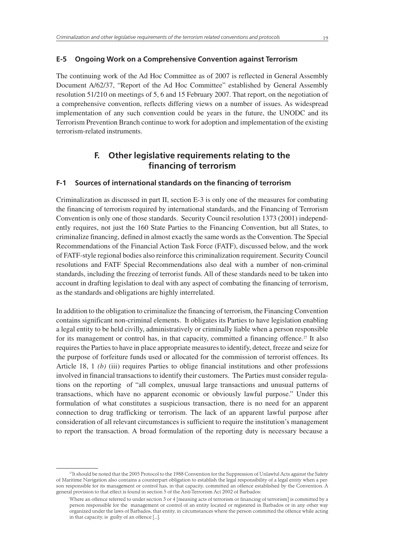#### **E-5 Ongoing Work on a Comprehensive Convention against Terrorism**

The continuing work of the Ad Hoc Committee as of 2007 is reflected in General Assembly Document A/62/37, "Report of the Ad Hoc Committee" established by General Assembly resolution 51/210 on meetings of 5, 6 and 15 February 2007. That report, on the negotiation of a comprehensive convention, reflects differing views on a number of issues. As widespread implementation of any such convention could be years in the future, the UNODC and its Terrorism Prevention Branch continue to work for adoption and implementation of the existing terrorism-related instruments.

## **F.—Other legislative requirements relating to the financing of terrorism**

#### **F-1 Sources of international standards on the financing of terrorism**

Criminalization as discussed in part II, section E-3 is only one of the measures for combating the financing of terrorism required by international standards, and the Financing of Terrorism Convention is only one of those standards. Security Council resolution 1373 (2001) independently requires, not just the 160 State Parties to the Financing Convention, but all States, to criminalize financing, defined in almost exactly the same words as the Convention. The Special Recommendations of the Financial Action Task Force (FATF), discussed below, and the work of FATF-style regional bodies also reinforce this criminalization requirement. Security Council resolutions and FATF Special Recommendations also deal with a number of non-criminal standards, including the freezing of terrorist funds. All of these standards need to be taken into account in drafting legislation to deal with any aspect of combating the financing of terrorism, as the standards and obligations are highly interrelated.

In addition to the obligation to criminalize the financing of terrorism, the Financing Convention contains significant non-criminal elements. It obligates its Parties to have legislation enabling a legal entity to be held civilly, administratively or criminally liable when a person responsible for its management or control has, in that capacity, committed a financing offence.<sup>27</sup> It also requires the Parties to have in place appropriate measures to identify, detect, freeze and seize for the purpose of forfeiture funds used or allocated for the commission of terrorist offences. Its Article 18, 1 *(b)* (iii) requires Parties to oblige financial institutions and other professions involved in financial transactions to identify their customers. The Parties must consider regulations on the reporting of "all complex, unusual large transactions and unusual patterns of transactions, which have no apparent economic or obviously lawful purpose." Under this formulation of what constitutes a suspicious transaction, there is no need for an apparent connection to drug trafficking or terrorism. The lack of an apparent lawful purpose after consideration of all relevant circumstances is sufficient to require the institution's management to report the transaction. A broad formulation of the reporting duty is necessary because a

<sup>&</sup>lt;sup>27</sup>It should be noted that the 2005 Protocol to the 1988 Convention for the Suppression of Unlawful Acts against the Safety of Maritime Navigation also contains a counterpart obligation to establish the legal responsibility of a legal entity when a person responsible for its management or control has, in that capacity, committed an offence established by the Convention. A general provision to that effect is found in section 5 of the Anti-Terrorism Act 2002 of Barbados:

Where an offence referred to under section 3 or 4 [meaning acts of terrorism or financing of terrorism] is committed by a person responsible for the management or control of an entity located or registered in Barbados or in any other way organized under the laws of Barbados, that entity, in circumstances where the person committed the offence while acting in that capacity, is guilty of an offence […].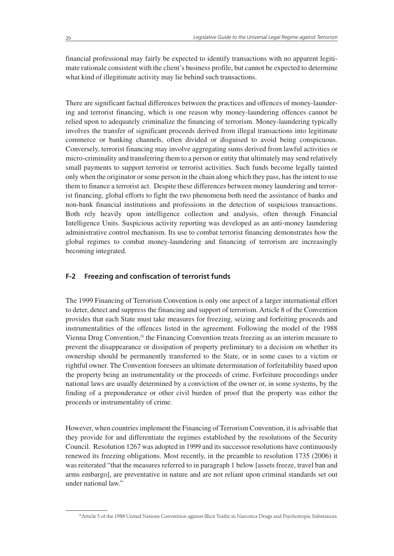financial professional may fairly be expected to identify transactions with no apparent legitimate rationale consistent with the client's business profile, but cannot be expected to determine what kind of illegitimate activity may lie behind such transactions.

There are significant factual differences between the practices and offences of money-laundering and terrorist financing, which is one reason why money-laundering offences cannot be relied upon to adequately criminalize the financing of terrorism. Money-laundering typically involves the transfer of significant proceeds derived from illegal transactions into legitimate commerce or banking channels, often divided or disguised to avoid being conspicuous. Conversely, terrorist financing may involve aggregating sums derived from lawful activities or micro-criminality and transferring them to a person or entity that ultimately may send relatively small payments to support terrorist or terrorist activities. Such funds become legally tainted only when the originator or some person in the chain along which they pass, has the intent to use them to finance a terrorist act. Despite these differences between money laundering and terrorist financing, global efforts to fight the two phenomena both need the assistance of banks and non-bank financial institutions and professions in the detection of suspicious transactions. Both rely heavily upon intelligence collection and analysis, often through Financial Intelligence Units. Suspicious activity reporting was developed as an anti-money laundering administrative control mechanism. Its use to combat terrorist financing demonstrates how the global regimes to combat money-laundering and financing of terrorism are increasingly becoming integrated.

#### **F-2 Freezing and confiscation of terrorist funds**

The 1999 Financing of Terrorism Convention is only one aspect of a larger international effort to deter, detect and suppress the financing and support of terrorism. Article 8 of the Convention provides that each State must take measures for freezing, seizing and forfeiting proceeds and instrumentalities of the offences listed in the agreement. Following the model of the 1988 Vienna Drug Convention,28 the Financing Convention treats freezing as an interim measure to prevent the disappearance or dissipation of property preliminary to a decision on whether its ownership should be permanently transferred to the State, or in some cases to a victim or rightful owner. The Convention foresees an ultimate determination of forfeitability based upon the property being an instrumentality or the proceeds of crime. Forfeiture proceedings under national laws are usually determined by a conviction of the owner or, in some systems, by the finding of a preponderance or other civil burden of proof that the property was either the proceeds or instrumentality of crime.

However, when countries implement the Financing of Terrorism Convention, it is advisable that they provide for and differentiate the regimes established by the resolutions of the Security Council. Resolution 1267 was adopted in 1999 and its successor resolutions have continuously renewed its freezing obligations. Most recently, in the preamble to resolution 1735 (2006) it was reiterated "that the measures referred to in paragraph 1 below [assets freeze, travel ban and arms embargo], are preventative in nature and are not reliant upon criminal standards set out under national law."

<sup>28</sup>Article 5 of the 1988 United Nations Convention against Illicit Traffic in Narcotics Drugs and Psychotropic Substances.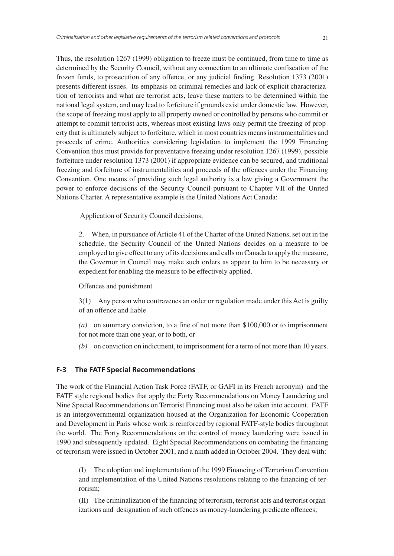Thus, the resolution 1267 (1999) obligation to freeze must be continued, from time to time as determined by the Security Council, without any connection to an ultimate confiscation of the frozen funds, to prosecution of any offence, or any judicial finding. Resolution 1373 (2001) presents different issues. Its emphasis on criminal remedies and lack of explicit characterization of terrorists and what are terrorist acts, leave these matters to be determined within the national legal system, and may lead to forfeiture if grounds exist under domestic law. However, the scope of freezing must apply to all property owned or controlled by persons who commit or attempt to commit terrorist acts, whereas most existing laws only permit the freezing of property that is ultimately subject to forfeiture, which in most countries means instrumentalities and proceeds of crime. Authorities considering legislation to implement the 1999 Financing Convention thus must provide for preventative freezing under resolution 1267 (1999), possible forfeiture under resolution 1373 (2001) if appropriate evidence can be secured, and traditional freezing and forfeiture of instrumentalities and proceeds of the offences under the Financing Convention. One means of providing such legal authority is a law giving a Government the power to enforce decisions of the Security Council pursuant to Chapter VII of the United Nations Charter. A representative example is the United Nations Act Canada:

Application of Security Council decisions;

2.—When, in pursuance of Article 41 of the Charter of the United Nations, set out in the schedule, the Security Council of the United Nations decides on a measure to be employed to give effect to any of its decisions and calls on Canada to apply the measure, the Governor in Council may make such orders as appear to him to be necessary or expedient for enabling the measure to be effectively applied.

#### Offences and punishment

3(1)—Any person who contravenes an order or regulation made under this Act is guilty of an offence and liable

*(a)* on summary conviction, to a fine of not more than \$100,000 or to imprisonment for not more than one year, or to both, or

*(b)* on conviction on indictment, to imprisonment for a term of not more than 10 years.

#### **F-3 The FATF Special Recommendations**

The work of the Financial Action Task Force (FATF, or GAFI in its French acronym) and the FATF style regional bodies that apply the Forty Recommendations on Money Laundering and Nine Special Recommendations on Terrorist Financing must also be taken into account. FATF is an intergovernmental organization housed at the Organization for Economic Cooperation and Development in Paris whose work is reinforced by regional FATF-style bodies throughout the world. The Forty Recommendations on the control of money laundering were issued in 1990 and subsequently updated. Eight Special Recommendations on combating the financing of terrorism were issued in October 2001, and a ninth added in October 2004. They deal with:

(I) The adoption and implementation of the 1999 Financing of Terrorism Convention and implementation of the United Nations resolutions relating to the financing of terrorism;

(II) The criminalization of the financing of terrorism, terrorist acts and terrorist organizations and designation of such offences as money-laundering predicate offences;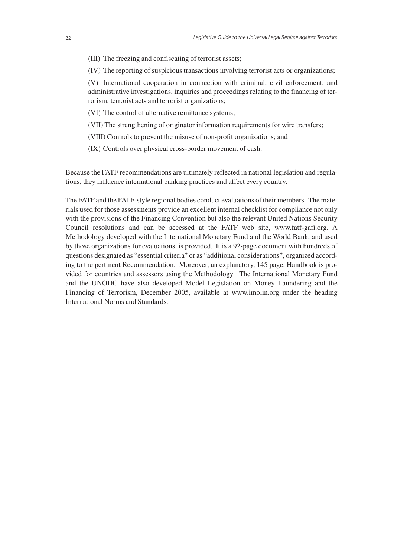- (III) The freezing and confiscating of terrorist assets;
- (IV) The reporting of suspicious transactions involving terrorist acts or organizations;

(V) International cooperation in connection with criminal, civil enforcement, and administrative investigations, inquiries and proceedings relating to the financing of terrorism, terrorist acts and terrorist organizations;

(VI) The control of alternative remittance systems;

(VII) The strengthening of originator information requirements for wire transfers;

- (VIII) Controls to prevent the misuse of non-profit organizations; and
- (IX) Controls over physical cross-border movement of cash.

Because the FATF recommendations are ultimately reflected in national legislation and regulations, they influence international banking practices and affect every country.

The FATF and the FATF-style regional bodies conduct evaluations of their members. The materials used for those assessments provide an excellent internal checklist for compliance not only with the provisions of the Financing Convention but also the relevant United Nations Security Council resolutions and can be accessed at the FATF web site, www.fatf-gafi.org. A Methodology developed with the International Monetary Fund and the World Bank, and used by those organizations for evaluations, is provided. It is a 92-page document with hundreds of questions designated as "essential criteria" or as "additional considerations", organized according to the pertinent Recommendation. Moreover, an explanatory, 145 page, Handbook is provided for countries and assessors using the Methodology. The International Monetary Fund and the UNODC have also developed Model Legislation on Money Laundering and the Financing of Terrorism, December 2005, available at www.imolin.org under the heading International Norms and Standards.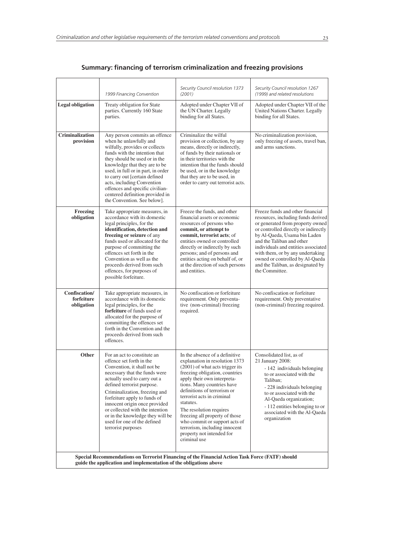|                                           | 1999 Financing Convention                                                                                                                                                                                                                                                                                                                                                                                           | Security Council resolution 1373<br>(2001)                                                                                                                                                                                                                                                                                                                                                                                                               | Security Council resolution 1267<br>(1999) and related resolutions                                                                                                                                                                                                                                                                                                                   |
|-------------------------------------------|---------------------------------------------------------------------------------------------------------------------------------------------------------------------------------------------------------------------------------------------------------------------------------------------------------------------------------------------------------------------------------------------------------------------|----------------------------------------------------------------------------------------------------------------------------------------------------------------------------------------------------------------------------------------------------------------------------------------------------------------------------------------------------------------------------------------------------------------------------------------------------------|--------------------------------------------------------------------------------------------------------------------------------------------------------------------------------------------------------------------------------------------------------------------------------------------------------------------------------------------------------------------------------------|
| <b>Legal obligation</b>                   | Treaty obligation for State<br>parties. Currently 160 State<br>parties.                                                                                                                                                                                                                                                                                                                                             | Adopted under Chapter VII of<br>the UN Charter. Legally<br>binding for all States.                                                                                                                                                                                                                                                                                                                                                                       | Adopted under Chapter VII of the<br>United Nations Charter. Legally<br>binding for all States.                                                                                                                                                                                                                                                                                       |
| <b>Criminalization</b><br>provision       | Any person commits an offence<br>when he unlawfully and<br>wilfully, provides or collects<br>funds with the intention that<br>they should be used or in the<br>knowledge that they are to be<br>used, in full or in part, in order<br>to carry out [certain defined<br>acts, including Convention<br>offences and specific civilian-<br>centered definition provided in<br>the Convention. See below].              | Criminalize the wilful<br>provision or collection, by any<br>means, directly or indirectly,<br>of funds by their nationals or<br>in their territories with the<br>intention that the funds should<br>be used, or in the knowledge<br>that they are to be used, in<br>order to carry out terrorist acts.                                                                                                                                                  | No criminalization provision,<br>only freezing of assets, travel ban,<br>and arms sanctions.                                                                                                                                                                                                                                                                                         |
| Freezing<br>obligation                    | Take appropriate measures, in<br>accordance with its domestic<br>legal principles, for the<br>identification, detection and<br>freezing or seizure of any<br>funds used or allocated for the<br>purpose of committing the<br>offences set forth in the<br>Convention as well as the<br>proceeds derived from such<br>offences, for purposes of<br>possible forfeiture.                                              | Freeze the funds, and other<br>financial assets or economic<br>resources of persons who<br>commit, or attempt to<br>commit, terrorist acts; of<br>entities owned or controlled<br>directly or indirectly by such<br>persons; and of persons and<br>entities acting on behalf of, or<br>at the direction of such persons<br>and entities.                                                                                                                 | Freeze funds and other financial<br>resources, including funds derived<br>or generated from property owned<br>or controlled directly or indirectly<br>by Al-Qaeda, Usama bin Laden<br>and the Taliban and other<br>individuals and entities associated<br>with them, or by any undertaking<br>owned or controlled by Al-Qaeda<br>and the Taliban, as designated by<br>the Committee. |
| Confiscation/<br>forfeiture<br>obligation | Take appropriate measures, in<br>accordance with its domestic<br>legal principles, for the<br>forfeiture of funds used or<br>allocated for the purpose of<br>committing the offences set<br>forth in the Convention and the<br>proceeds derived from such<br>offences.                                                                                                                                              | No confiscation or forfeiture<br>requirement. Only preventa-<br>tive (non-criminal) freezing<br>required.                                                                                                                                                                                                                                                                                                                                                | No confiscation or forfeiture<br>requirement. Only preventative<br>(non-criminal) freezing required.                                                                                                                                                                                                                                                                                 |
| Other                                     | For an act to constitute an<br>offence set forth in the<br>Convention, it shall not be<br>necessary that the funds were<br>actually used to carry out a<br>defined terrorist purpose.<br>Criminalization, freezing and<br>forfeiture apply to funds of<br>innocent origin once provided<br>or collected with the intention<br>or in the knowledge they will be<br>used for one of the defined<br>terrorist purposes | In the absence of a definitive<br>explanation in resolution 1373<br>(2001) of what acts trigger its<br>freezing obligation, countries<br>apply their own interpreta-<br>tions. Many countries have<br>definitions of terrorism or<br>terrorist acts in criminal<br>statutes.<br>The resolution requires<br>freezing all property of those<br>who commit or support acts of<br>terrorism, including innocent<br>property not intended for<br>criminal use | Consolidated list, as of<br>21 January 2008:<br>- 142 individuals belonging<br>to or associated with the<br>Taliban;<br>- 228 individuals belonging<br>to or associated with the<br>Al-Qaeda organization;<br>- 112 entities belonging to or<br>associated with the Al-Qaeda<br>organization                                                                                         |
|                                           | Special Recommendations on Terrorist Financing of the Financial Action Task Force (FATF) should<br>guide the application and implementation of the obligations above                                                                                                                                                                                                                                                |                                                                                                                                                                                                                                                                                                                                                                                                                                                          |                                                                                                                                                                                                                                                                                                                                                                                      |

**Summary: financing of terrorism criminalization and freezing provisions**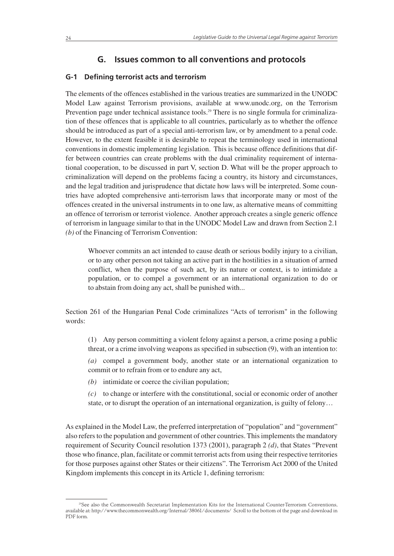### **G.—Issues common to all conventions and protocols**

#### **G-1 Defining terrorist acts and terrorism**

The elements of the offences established in the various treaties are summarized in the UNODC Model Law against Terrorism provisions, available at www.unodc.org, on the Terrorism Prevention page under technical assistance tools.<sup>29</sup> There is no single formula for criminalization of these offences that is applicable to all countries, particularly as to whether the offence should be introduced as part of a special anti-terrorism law, or by amendment to a penal code. However, to the extent feasible it is desirable to repeat the terminology used in international conventions in domestic implementing legislation. This is because offence definitions that differ between countries can create problems with the dual criminality requirement of international cooperation, to be discussed in part V, section D. What will be the proper approach to criminalization will depend on the problems facing a country, its history and circumstances, and the legal tradition and jurisprudence that dictate how laws will be interpreted. Some countries have adopted comprehensive anti-terrorism laws that incorporate many or most of the offences created in the universal instruments in to one law, as alternative means of committing an offence of terrorism or terrorist violence. Another approach creates a single generic offence of terrorism in language similar to that in the UNODC Model Law and drawn from Section 2.1 *(b)* of the Financing of Terrorism Convention:

Whoever commits an act intended to cause death or serious bodily injury to a civilian, or to any other person not taking an active part in the hostilities in a situation of armed conflict, when the purpose of such act, by its nature or context, is to intimidate a population, or to compel a government or an international organization to do or to abstain from doing any act, shall be punished with...

Section 261 of the Hungarian Penal Code criminalizes "Acts of terrorism" in the following words:

(1) Any person committing a violent felony against a person, a crime posing a public threat, or a crime involving weapons as specified in subsection (9), with an intention to:

*(a)* compel a government body, another state or an international organization to commit or to refrain from or to endure any act,

*(b)* intimidate or coerce the civilian population;

*(c)* to change or interfere with the constitutional, social or economic order of another state, or to disrupt the operation of an international organization, is guilty of felony…

As explained in the Model Law, the preferred interpretation of "population" and "government" also refers to the population and government of other countries. This implements the mandatory requirement of Security Council resolution 1373 (2001), paragraph 2 *(d)*, that States "Prevent those who finance, plan, facilitate or commit terrorist acts from using their respective territories for those purposes against other States or their citizens". The Terrorism Act 2000 of the United Kingdom implements this concept in its Article 1, defining terrorism:

<sup>29</sup>See also the Commonwealth Secretariat Implementation Kits for the International Counter-Terrorism Conventions, available at: http://www.thecommonwealth.org/Internal/38061/documents/ Scroll to the bottom of the page and download in PDF form.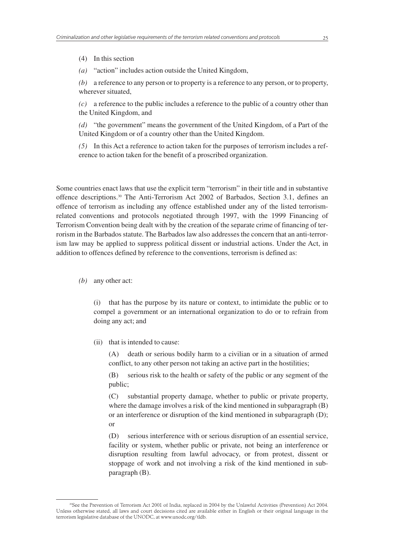(4) In this section

*(a)* "action" includes action outside the United Kingdom,

*(b)* a reference to any person or to property is a reference to any person, or to property, wherever situated,

*(c)* a reference to the public includes a reference to the public of a country other than the United Kingdom, and

*(d)* "the government" means the government of the United Kingdom, of a Part of the United Kingdom or of a country other than the United Kingdom.

*(5)* In this Act a reference to action taken for the purposes of terrorism includes a reference to action taken for the benefit of a proscribed organization.

Some countries enact laws that use the explicit term "terrorism" in their title and in substantive offence descriptions.30 The Anti-Terrorism Act 2002 of Barbados, Section 3.1, defines an offence of terrorism as including any offence established under any of the listed terrorismrelated conventions and protocols negotiated through 1997, with the 1999 Financing of Terrorism Convention being dealt with by the creation of the separate crime of financing of terrorism in the Barbados statute. The Barbados law also addresses the concern that an anti-terrorism law may be applied to suppress political dissent or industrial actions. Under the Act, in addition to offences defined by reference to the conventions, terrorism is defined as:

*(b)* any other act:

(i) that has the purpose by its nature or context, to intimidate the public or to compel a government or an international organization to do or to refrain from doing any act; and

(ii) that is intended to cause:

(A) death or serious bodily harm to a civilian or in a situation of armed conflict, to any other person not taking an active part in the hostilities;

(B) serious risk to the health or safety of the public or any segment of the public;

(C) substantial property damage, whether to public or private property, where the damage involves a risk of the kind mentioned in subparagraph (B) or an interference or disruption of the kind mentioned in subparagraph (D); or

(D) serious interference with or serious disruption of an essential service, facility or system, whether public or private, not being an interference or disruption resulting from lawful advocacy, or from protest, dissent or stoppage of work and not involving a risk of the kind mentioned in subparagraph (B).

<sup>&</sup>lt;sup>30</sup>See the Prevention of Terrorism Act 2001 of India, replaced in 2004 by the Unlawful Activities (Prevention) Act 2004. Unless otherwise stated, all laws and court decisions cited are available either in English or their original language in the terrorism legislative database of the UNODC, at www.unodc.org/tldb.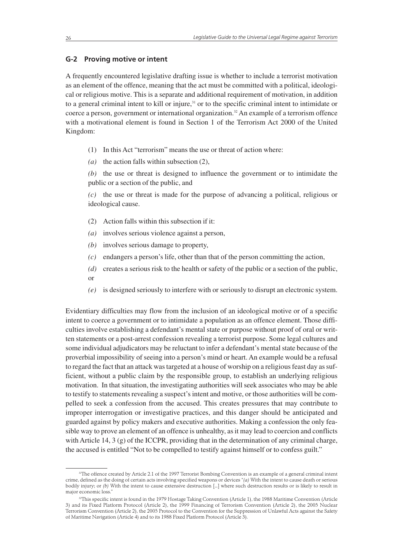#### **G-2 Proving motive or intent**

A frequently encountered legislative drafting issue is whether to include a terrorist motivation as an element of the offence, meaning that the act must be committed with a political, ideological or religious motive. This is a separate and additional requirement of motivation, in addition to a general criminal intent to kill or injure,<sup>31</sup> or to the specific criminal intent to intimidate or coerce a person, government or international organization.<sup>32</sup> An example of a terrorism offence with a motivational element is found in Section 1 of the Terrorism Act 2000 of the United Kingdom:

- (1) In this Act "terrorism" means the use or threat of action where:
- *(a)* the action falls within subsection (2),

*(b)* the use or threat is designed to influence the government or to intimidate the public or a section of the public, and

*(c)* the use or threat is made for the purpose of advancing a political, religious or ideological cause.

- (2) Action falls within this subsection if it:
- *(a)* involves serious violence against a person,
- *(b)* involves serious damage to property,
- *(c)* endangers a person's life, other than that of the person committing the action,
- *(d)* creates a serious risk to the health or safety of the public or a section of the public, or
- *(e)* is designed seriously to interfere with or seriously to disrupt an electronic system.

Evidentiary difficulties may flow from the inclusion of an ideological motive or of a specific intent to coerce a government or to intimidate a population as an offence element. Those difficulties involve establishing a defendant's mental state or purpose without proof of oral or written statements or a post-arrest confession revealing a terrorist purpose. Some legal cultures and some individual adjudicators may be reluctant to infer a defendant's mental state because of the proverbial impossibility of seeing into a person's mind or heart. An example would be a refusal to regard the fact that an attack was targeted at a house of worship on a religious feast day as sufficient, without a public claim by the responsible group, to establish an underlying religious motivation. In that situation, the investigating authorities will seek associates who may be able to testify to statements revealing a suspect's intent and motive, or those authorities will be compelled to seek a confession from the accused. This creates pressures that may contribute to improper interrogation or investigative practices, and this danger should be anticipated and guarded against by policy makers and executive authorities. Making a confession the only feasible way to prove an element of an offence is unhealthy, as it may lead to coercion and conflicts with Article 14, 3  $(g)$  of the ICCPR, providing that in the determination of any criminal charge, the accused is entitled "Not to be compelled to testify against himself or to confess guilt."

<sup>&</sup>lt;sup>31</sup>The offence created by Article 2.1 of the 1997 Terrorist Bombing Convention is an example of a general criminal intent crime, defined as the doing of certain acts involving specified weapons or devices "*(a)* With the intent to cause death or serious bodily injury; or *(b)* With the intent to cause extensive destruction […] where such destruction results or is likely to result in major economic loss."

<sup>&</sup>lt;sup>32</sup>This specific intent is found in the 1979 Hostage Taking Convention (Article 1), the 1988 Maritime Convention (Article 3) and its Fixed Platform Protocol (Article 2), the 1999 Financing of Terrorism Convention (Article 2), the 2005 Nuclear Terrorism Convention (Article 2), the 2005 Protocol to the Convention for the Suppression of Unlawful Acts against the Safety of Maritime Navigation (Article 4) and to its 1988 Fixed Platform Protocol (Article 3).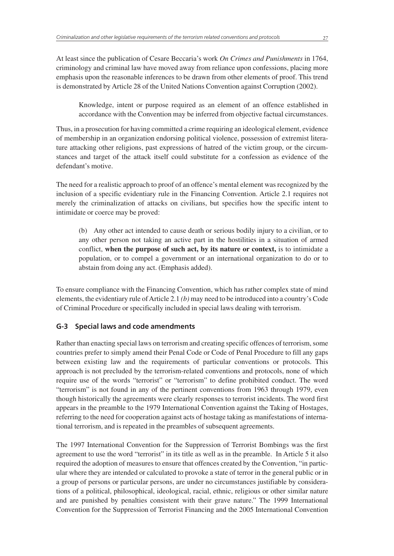At least since the publication of Cesare Beccaria's work *On Crimes and Punishments* in 1764, criminology and criminal law have moved away from reliance upon confessions, placing more emphasis upon the reasonable inferences to be drawn from other elements of proof. This trend is demonstrated by Article 28 of the United Nations Convention against Corruption (2002).

Knowledge, intent or purpose required as an element of an offence established in accordance with the Convention may be inferred from objective factual circumstances.

Thus, in a prosecution for having committed a crime requiring an ideological element, evidence of membership in an organization endorsing political violence, possession of extremist literature attacking other religions, past expressions of hatred of the victim group, or the circumstances and target of the attack itself could substitute for a confession as evidence of the defendant's motive.

The need for a realistic approach to proof of an offence's mental element was recognized by the inclusion of a specific evidentiary rule in the Financing Convention. Article 2.1 requires not merely the criminalization of attacks on civilians, but specifies how the specific intent to intimidate or coerce may be proved:

(b) Any other act intended to cause death or serious bodily injury to a civilian, or to any other person not taking an active part in the hostilities in a situation of armed conflict, **when the purpose of such act, by its nature or context,** is to intimidate a population, or to compel a government or an international organization to do or to abstain from doing any act. (Emphasis added).

To ensure compliance with the Financing Convention, which has rather complex state of mind elements, the evidentiary rule of Article 2.1 *(b)* may need to be introduced into a country's Code of Criminal Procedure or specifically included in special laws dealing with terrorism.

#### **G-3 Special laws and code amendments**

Rather than enacting special laws on terrorism and creating specific offences of terrorism, some countries prefer to simply amend their Penal Code or Code of Penal Procedure to fill any gaps between existing law and the requirements of particular conventions or protocols. This approach is not precluded by the terrorism-related conventions and protocols, none of which require use of the words "terrorist" or "terrorism" to define prohibited conduct. The word "terrorism" is not found in any of the pertinent conventions from 1963 through 1979, even though historically the agreements were clearly responses to terrorist incidents. The word first appears in the preamble to the 1979 International Convention against the Taking of Hostages, referring to the need for cooperation against acts of hostage taking as manifestations of international terrorism, and is repeated in the preambles of subsequent agreements.

The 1997 International Convention for the Suppression of Terrorist Bombings was the first agreement to use the word "terrorist" in its title as well as in the preamble. In Article 5 it also required the adoption of measures to ensure that offences created by the Convention, "in particular where they are intended or calculated to provoke a state of terror in the general public or in a group of persons or particular persons, are under no circumstances justifiable by considerations of a political, philosophical, ideological, racial, ethnic, religious or other similar nature and are punished by penalties consistent with their grave nature." The 1999 International Convention for the Suppression of Terrorist Financing and the 2005 International Convention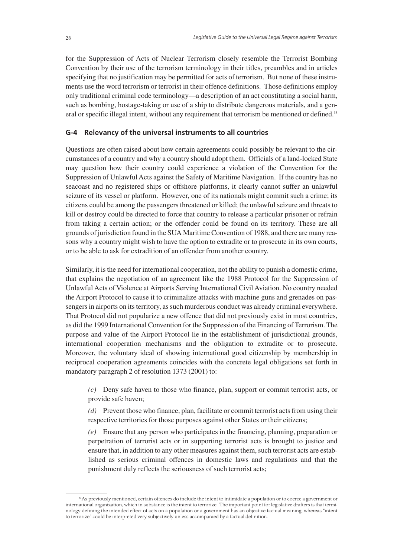for the Suppression of Acts of Nuclear Terrorism closely resemble the Terrorist Bombing Convention by their use of the terrorism terminology in their titles, preambles and in articles specifying that no justification may be permitted for acts of terrorism. But none of these instruments use the word terrorism or terrorist in their offence definitions. Those definitions employ only traditional criminal code terminology—a description of an act constituting a social harm, such as bombing, hostage-taking or use of a ship to distribute dangerous materials, and a general or specific illegal intent, without any requirement that terrorism be mentioned or defined.<sup>33</sup>

#### **G-4 Relevancy of the universal instruments to all countries**

Questions are often raised about how certain agreements could possibly be relevant to the circumstances of a country and why a country should adopt them. Officials of a land-locked State may question how their country could experience a violation of the Convention for the Suppression of Unlawful Acts against the Safety of Maritime Navigation. If the country has no seacoast and no registered ships or offshore platforms, it clearly cannot suffer an unlawful seizure of its vessel or platform. However, one of its nationals might commit such a crime; its citizens could be among the passengers threatened or killed; the unlawful seizure and threats to kill or destroy could be directed to force that country to release a particular prisoner or refrain from taking a certain action; or the offender could be found on its territory. These are all grounds of jurisdiction found in the SUA Maritime Convention of 1988, and there are many reasons why a country might wish to have the option to extradite or to prosecute in its own courts, or to be able to ask for extradition of an offender from another country.

Similarly, it is the need for international cooperation, not the ability to punish a domestic crime, that explains the negotiation of an agreement like the 1988 Protocol for the Suppression of Unlawful Acts of Violence at Airports Serving International Civil Aviation. No country needed the Airport Protocol to cause it to criminalize attacks with machine guns and grenades on passengers in airports on its territory, as such murderous conduct was already criminal everywhere. That Protocol did not popularize a new offence that did not previously exist in most countries, as did the 1999 International Convention for the Suppression of the Financing of Terrorism. The purpose and value of the Airport Protocol lie in the establishment of jurisdictional grounds, international cooperation mechanisms and the obligation to extradite or to prosecute. Moreover, the voluntary ideal of showing international good citizenship by membership in reciprocal cooperation agreements coincides with the concrete legal obligations set forth in mandatory paragraph 2 of resolution 1373 (2001) to:

*(c)* Deny safe haven to those who finance, plan, support or commit terrorist acts, or provide safe haven;

*(d)* Prevent those who finance, plan, facilitate or commit terrorist acts from using their respective territories for those purposes against other States or their citizens;

*(e)* Ensure that any person who participates in the financing, planning, preparation or perpetration of terrorist acts or in supporting terrorist acts is brought to justice and ensure that, in addition to any other measures against them, such terrorist acts are established as serious criminal offences in domestic laws and regulations and that the punishment duly reflects the seriousness of such terrorist acts;

<sup>&</sup>lt;sup>33</sup>As previously mentioned, certain offences do include the intent to intimidate a population or to coerce a government or international organization, which in substance is the intent to terrorize. The important point for legislative drafters is that terminology defining the intended effect of acts on a population or a government has an objective factual meaning, whereas "intent to terrorize" could be interpreted very subjectively unless accompanied by a factual definition.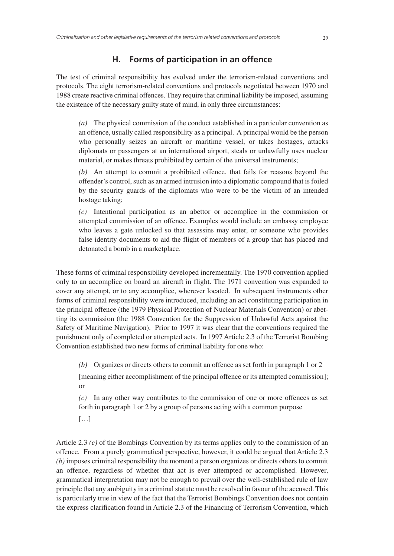# **H.—Forms of participation in an offence**

The test of criminal responsibility has evolved under the terrorism-related conventions and protocols. The eight terrorism-related conventions and protocols negotiated between 1970 and 1988 create reactive criminal offences. They require that criminal liability be imposed, assuming the existence of the necessary guilty state of mind, in only three circumstances:

*(a)* The physical commission of the conduct established in a particular convention as an offence, usually called responsibility as a principal. A principal would be the person who personally seizes an aircraft or maritime vessel, or takes hostages, attacks diplomats or passengers at an international airport, steals or unlawfully uses nuclear material, or makes threats prohibited by certain of the universal instruments;

*(b)* An attempt to commit a prohibited offence, that fails for reasons beyond the offender's control, such as an armed intrusion into a diplomatic compound that is foiled by the security guards of the diplomats who were to be the victim of an intended hostage taking;

*(c)* Intentional participation as an abettor or accomplice in the commission or attempted commission of an offence. Examples would include an embassy employee who leaves a gate unlocked so that assassins may enter, or someone who provides false identity documents to aid the flight of members of a group that has placed and detonated a bomb in a marketplace.

These forms of criminal responsibility developed incrementally. The 1970 convention applied only to an accomplice on board an aircraft in flight. The 1971 convention was expanded to cover any attempt, or to any accomplice, wherever located. In subsequent instruments other forms of criminal responsibility were introduced, including an act constituting participation in the principal offence (the 1979 Physical Protection of Nuclear Materials Convention) or abetting its commission (the 1988 Convention for the Suppression of Unlawful Acts against the Safety of Maritime Navigation). Prior to 1997 it was clear that the conventions required the punishment only of completed or attempted acts. In 1997 Article 2.3 of the Terrorist Bombing Convention established two new forms of criminal liability for one who:

*(b)* Organizes or directs others to commit an offence as set forth in paragraph 1 or 2

[meaning either accomplishment of the principal offence or its attempted commission]; or

*(c)* In any other way contributes to the commission of one or more offences as set forth in paragraph 1 or 2 by a group of persons acting with a common purpose

[…]

Article 2.3 *(c)* of the Bombings Convention by its terms applies only to the commission of an offence. From a purely grammatical perspective, however, it could be argued that Article 2.3 *(b)* imposes criminal responsibility the moment a person organizes or directs others to commit an offence, regardless of whether that act is ever attempted or accomplished. However, grammatical interpretation may not be enough to prevail over the well-established rule of law principle that any ambiguity in a criminal statute must be resolved in favour of the accused. This is particularly true in view of the fact that the Terrorist Bombings Convention does not contain the express clarification found in Article 2.3 of the Financing of Terrorism Convention, which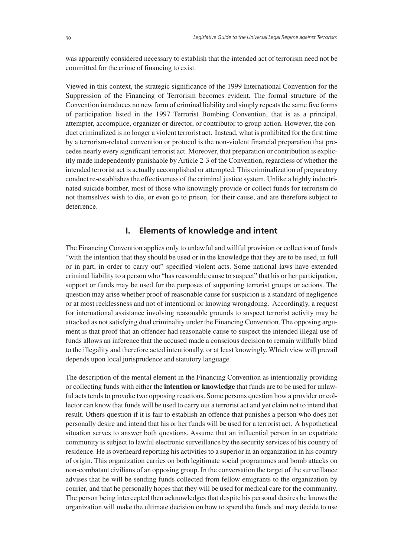was apparently considered necessary to establish that the intended act of terrorism need not be committed for the crime of financing to exist.

Viewed in this context, the strategic significance of the 1999 International Convention for the Suppression of the Financing of Terrorism becomes evident. The formal structure of the Convention introduces no new form of criminal liability and simply repeats the same five forms of participation listed in the 1997 Terrorist Bombing Convention, that is as a principal, attempter, accomplice, organizer or director, or contributor to group action. However, the conduct criminalized is no longer a violent terrorist act. Instead, what is prohibited for the first time by a terrorism-related convention or protocol is the non-violent financial preparation that precedes nearly every significant terrorist act. Moreover, that preparation or contribution is explicitly made independently punishable by Article 2-3 of the Convention, regardless of whether the intended terrorist act is actually accomplished or attempted. This criminalization of preparatory conduct re-establishes the effectiveness of the criminal justice system. Unlike a highly indoctrinated suicide bomber, most of those who knowingly provide or collect funds for terrorism do not themselves wish to die, or even go to prison, for their cause, and are therefore subject to deterrence.

#### **I.—Elements of knowledge and intent**

The Financing Convention applies only to unlawful and willful provision or collection of funds "with the intention that they should be used or in the knowledge that they are to be used, in full or in part, in order to carry out" specified violent acts. Some national laws have extended criminal liability to a person who "has reasonable cause to suspect" that his or her participation, support or funds may be used for the purposes of supporting terrorist groups or actions. The question may arise whether proof of reasonable cause for suspicion is a standard of negligence or at most recklessness and not of intentional or knowing wrongdoing. Accordingly, a request for international assistance involving reasonable grounds to suspect terrorist activity may be attacked as not satisfying dual criminality under the Financing Convention. The opposing argument is that proof that an offender had reasonable cause to suspect the intended illegal use of funds allows an inference that the accused made a conscious decision to remain willfully blind to the illegality and therefore acted intentionally, or at least knowingly. Which view will prevail depends upon local jurisprudence and statutory language.

The description of the mental element in the Financing Convention as intentionally providing or collecting funds with either the **intention or knowledge** that funds are to be used for unlawful acts tends to provoke two opposing reactions. Some persons question how a provider or collector can know that funds will be used to carry out a terrorist act and yet claim not to intend that result. Others question if it is fair to establish an offence that punishes a person who does not personally desire and intend that his or her funds will be used for a terrorist act. A hypothetical situation serves to answer both questions. Assume that an influential person in an expatriate community is subject to lawful electronic surveillance by the security services of his country of residence. He is overheard reporting his activities to a superior in an organization in his country of origin. This organization carries on both legitimate social programmes and bomb attacks on non-combatant civilians of an opposing group. In the conversation the target of the surveillance advises that he will be sending funds collected from fellow emigrants to the organization by courier, and that he personally hopes that they will be used for medical care for the community. The person being intercepted then acknowledges that despite his personal desires he knows the organization will make the ultimate decision on how to spend the funds and may decide to use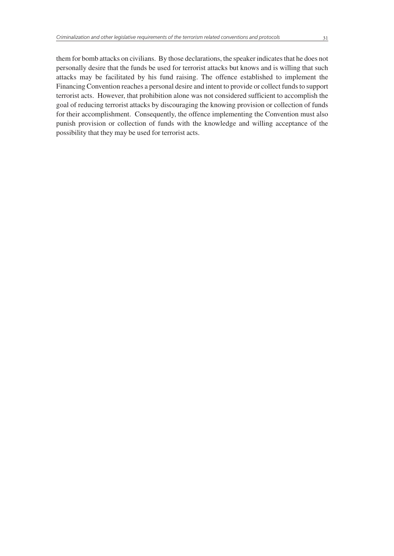them for bomb attacks on civilians. By those declarations, the speaker indicates that he does not personally desire that the funds be used for terrorist attacks but knows and is willing that such attacks may be facilitated by his fund raising. The offence established to implement the Financing Convention reaches a personal desire and intent to provide or collect funds to support terrorist acts. However, that prohibition alone was not considered sufficient to accomplish the goal of reducing terrorist attacks by discouraging the knowing provision or collection of funds for their accomplishment. Consequently, the offence implementing the Convention must also punish provision or collection of funds with the knowledge and willing acceptance of the possibility that they may be used for terrorist acts.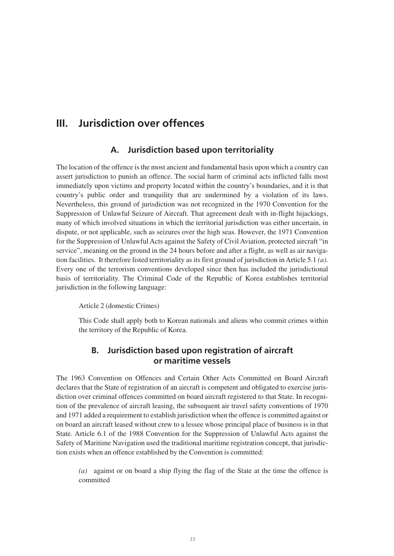# **III.—Jurisdiction over offences**

#### **A.—Jurisdiction based upon territoriality**

The location of the offence is the most ancient and fundamental basis upon which a country can assert jurisdiction to punish an offence. The social harm of criminal acts inflicted falls most immediately upon victims and property located within the country's boundaries, and it is that country's public order and tranquility that are undermined by a violation of its laws. Nevertheless, this ground of jurisdiction was not recognized in the 1970 Convention for the Suppression of Unlawful Seizure of Aircraft. That agreement dealt with in-flight hijackings, many of which involved situations in which the territorial jurisdiction was either uncertain, in dispute, or not applicable, such as seizures over the high seas. However, the 1971 Convention for the Suppression of Unlawful Acts against the Safety of Civil Aviation, protected aircraft "in service", meaning on the ground in the 24 hours before and after a flight, as well as air navigation facilities. It therefore listed territoriality as its first ground of jurisdiction in Article 5.1 *(a)*. Every one of the terrorism conventions developed since then has included the jurisdictional basis of territoriality. The Criminal Code of the Republic of Korea establishes territorial jurisdiction in the following language:

Article 2 (domestic Crimes)

This Code shall apply both to Korean nationals and aliens who commit crimes within the territory of the Republic of Korea.

# **B.—Jurisdiction based upon registration of aircraft or maritime vessels**

The 1963 Convention on Offences and Certain Other Acts Committed on Board Aircraft declares that the State of registration of an aircraft is competent and obligated to exercise jurisdiction over criminal offences committed on board aircraft registered to that State. In recognition of the prevalence of aircraft leasing, the subsequent air travel safety conventions of 1970 and 1971 added a requirement to establish jurisdiction when the offence is committed against or on board an aircraft leased without crew to a lessee whose principal place of business is in that State. Article 6.1 of the 1988 Convention for the Suppression of Unlawful Acts against the Safety of Maritime Navigation used the traditional maritime registration concept, that jurisdiction exists when an offence established by the Convention is committed:

*(a)* against or on board a ship flying the flag of the State at the time the offence is committed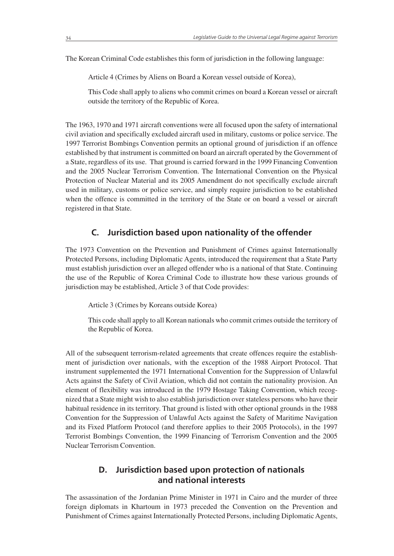The Korean Criminal Code establishes this form of jurisdiction in the following language:

Article 4 (Crimes by Aliens on Board a Korean vessel outside of Korea),

This Code shall apply to aliens who commit crimes on board a Korean vessel or aircraft outside the territory of the Republic of Korea.

The 1963, 1970 and 1971 aircraft conventions were all focused upon the safety of international civil aviation and specifically excluded aircraft used in military, customs or police service. The 1997 Terrorist Bombings Convention permits an optional ground of jurisdiction if an offence established by that instrument is committed on board an aircraft operated by the Government of a State, regardless of its use. That ground is carried forward in the 1999 Financing Convention and the 2005 Nuclear Terrorism Convention. The International Convention on the Physical Protection of Nuclear Material and its 2005 Amendment do not specifically exclude aircraft used in military, customs or police service, and simply require jurisdiction to be established when the offence is committed in the territory of the State or on board a vessel or aircraft registered in that State.

#### **C.—Jurisdiction based upon nationality of the offender**

The 1973 Convention on the Prevention and Punishment of Crimes against Internationally Protected Persons, including Diplomatic Agents, introduced the requirement that a State Party must establish jurisdiction over an alleged offender who is a national of that State. Continuing the use of the Republic of Korea Criminal Code to illustrate how these various grounds of jurisdiction may be established, Article 3 of that Code provides:

Article 3 (Crimes by Koreans outside Korea)

This code shall apply to all Korean nationals who commit crimes outside the territory of the Republic of Korea.

All of the subsequent terrorism-related agreements that create offences require the establishment of jurisdiction over nationals, with the exception of the 1988 Airport Protocol. That instrument supplemented the 1971 International Convention for the Suppression of Unlawful Acts against the Safety of Civil Aviation, which did not contain the nationality provision. An element of flexibility was introduced in the 1979 Hostage Taking Convention, which recognized that a State might wish to also establish jurisdiction over stateless persons who have their habitual residence in its territory. That ground is listed with other optional grounds in the 1988 Convention for the Suppression of Unlawful Acts against the Safety of Maritime Navigation and its Fixed Platform Protocol (and therefore applies to their 2005 Protocols), in the 1997 Terrorist Bombings Convention, the 1999 Financing of Terrorism Convention and the 2005 Nuclear Terrorism Convention.

# **D.—Jurisdiction based upon protection of nationals and national interests**

The assassination of the Jordanian Prime Minister in 1971 in Cairo and the murder of three foreign diplomats in Khartoum in 1973 preceded the Convention on the Prevention and Punishment of Crimes against Internationally Protected Persons, including Diplomatic Agents,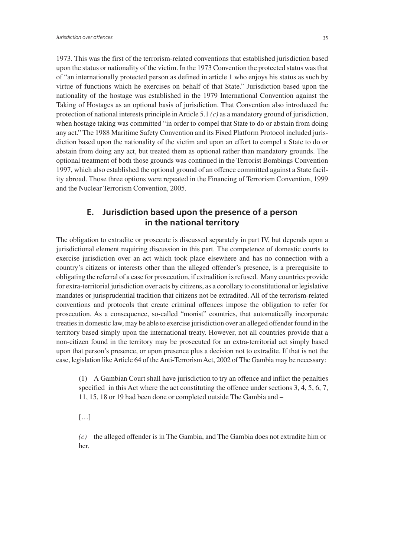1973. This was the first of the terrorism-related conventions that established jurisdiction based upon the status or nationality of the victim. In the 1973 Convention the protected status was that of "an internationally protected person as defined in article 1 who enjoys his status as such by virtue of functions which he exercises on behalf of that State." Jurisdiction based upon the nationality of the hostage was established in the 1979 International Convention against the Taking of Hostages as an optional basis of jurisdiction. That Convention also introduced the protection of national interests principle in Article 5.1 *(c)* as a mandatory ground of jurisdiction, when hostage taking was committed "in order to compel that State to do or abstain from doing any act." The 1988 Maritime Safety Convention and its Fixed Platform Protocol included jurisdiction based upon the nationality of the victim and upon an effort to compel a State to do or abstain from doing any act, but treated them as optional rather than mandatory grounds. The optional treatment of both those grounds was continued in the Terrorist Bombings Convention 1997, which also established the optional ground of an offence committed against a State facility abroad. Those three options were repeated in the Financing of Terrorism Convention, 1999 and the Nuclear Terrorism Convention, 2005.

## **E.—Jurisdiction based upon the presence of a person in the national territory**

The obligation to extradite or prosecute is discussed separately in part IV, but depends upon a jurisdictional element requiring discussion in this part. The competence of domestic courts to exercise jurisdiction over an act which took place elsewhere and has no connection with a country's citizens or interests other than the alleged offender's presence, is a prerequisite to obligating the referral of a case for prosecution, if extradition is refused. Many countries provide for extra-territorial jurisdiction over acts by citizens, as a corollary to constitutional or legislative mandates or jurisprudential tradition that citizens not be extradited. All of the terrorism-related conventions and protocols that create criminal offences impose the obligation to refer for prosecution. As a consequence, so-called "monist" countries, that automatically incorporate treaties in domestic law, may be able to exercise jurisdiction over an alleged offender found in the territory based simply upon the international treaty. However, not all countries provide that a non-citizen found in the territory may be prosecuted for an extra-territorial act simply based upon that person's presence, or upon presence plus a decision not to extradite. If that is not the case, legislation like Article 64 of the Anti-Terrorism Act, 2002 of The Gambia may be necessary:

(1) A Gambian Court shall have jurisdiction to try an offence and inflict the penalties specified in this Act where the act constituting the offence under sections 3, 4, 5, 6, 7, 11, 15, 18 or 19 had been done or completed outside The Gambia and –

[…]

*(c)* the alleged offender is in The Gambia, and The Gambia does not extradite him or her.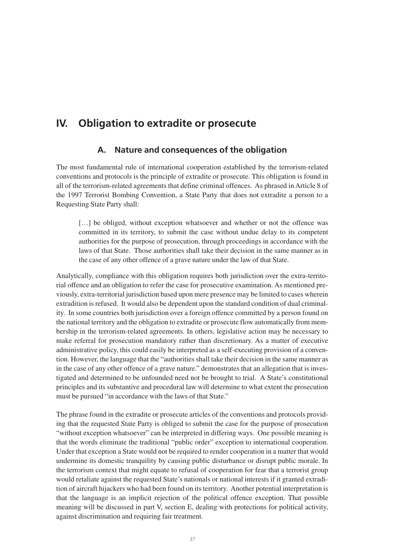# **IV.—Obligation to extradite or prosecute**

#### **A.—Nature and consequences of the obligation**

The most fundamental rule of international cooperation established by the terrorism-related conventions and protocols is the principle of extradite or prosecute. This obligation is found in all of the terrorism-related agreements that define criminal offences. As phrased in Article 8 of the 1997 Terrorist Bombing Convention, a State Party that does not extradite a person to a Requesting State Party shall:

[...] be obliged, without exception whatsoever and whether or not the offence was committed in its territory, to submit the case without undue delay to its competent authorities for the purpose of prosecution, through proceedings in accordance with the laws of that State. Those authorities shall take their decision in the same manner as in the case of any other offence of a grave nature under the law of that State.

Analytically, compliance with this obligation requires both jurisdiction over the extra-territorial offence and an obligation to refer the case for prosecutive examination. As mentioned previously, extra-territorial jurisdiction based upon mere presence may be limited to cases wherein extradition is refused. It would also be dependent upon the standard condition of dual criminality. In some countries both jurisdiction over a foreign offence committed by a person found on the national territory and the obligation to extradite or prosecute flow automatically from membership in the terrorism-related agreements. In others, legislative action may be necessary to make referral for prosecution mandatory rather than discretionary. As a matter of executive administrative policy, this could easily be interpreted as a self-executing provision of a convention. However, the language that the "authorities shall take their decision in the same manner as in the case of any other offence of a grave nature." demonstrates that an allegation that is investigated and determined to be unfounded need not be brought to trial. A State's constitutional principles and its substantive and procedural law will determine to what extent the prosecution must be pursued "in accordance with the laws of that State."

The phrase found in the extradite or prosecute articles of the conventions and protocols providing that the requested State Party is obliged to submit the case for the purpose of prosecution "without exception whatsoever" can be interpreted in differing ways. One possible meaning is that the words eliminate the traditional "public order" exception to international cooperation. Under that exception a State would not be required to render cooperation in a matter that would undermine its domestic tranquility by causing public disturbance or disrupt public morale. In the terrorism context that might equate to refusal of cooperation for fear that a terrorist group would retaliate against the requested State's nationals or national interests if it granted extradition of aircraft hijackers who had been found on its territory. Another potential interpretation is that the language is an implicit rejection of the political offence exception. That possible meaning will be discussed in part V, section E, dealing with protections for political activity, against discrimination and requiring fair treatment.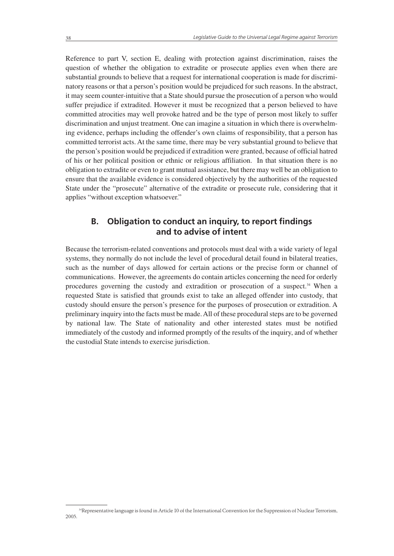Reference to part V, section E, dealing with protection against discrimination, raises the question of whether the obligation to extradite or prosecute applies even when there are substantial grounds to believe that a request for international cooperation is made for discriminatory reasons or that a person's position would be prejudiced for such reasons. In the abstract, it may seem counter-intuitive that a State should pursue the prosecution of a person who would suffer prejudice if extradited. However it must be recognized that a person believed to have committed atrocities may well provoke hatred and be the type of person most likely to suffer discrimination and unjust treatment. One can imagine a situation in which there is overwhelming evidence, perhaps including the offender's own claims of responsibility, that a person has committed terrorist acts. At the same time, there may be very substantial ground to believe that the person's position would be prejudiced if extradition were granted, because of official hatred of his or her political position or ethnic or religious affiliation. In that situation there is no obligation to extradite or even to grant mutual assistance, but there may well be an obligation to ensure that the available evidence is considered objectively by the authorities of the requested State under the "prosecute" alternative of the extradite or prosecute rule, considering that it applies "without exception whatsoever."

## **B.—Obligation to conduct an inquiry, to report findings and to advise of intent**

Because the terrorism-related conventions and protocols must deal with a wide variety of legal systems, they normally do not include the level of procedural detail found in bilateral treaties, such as the number of days allowed for certain actions or the precise form or channel of communications. However, the agreements do contain articles concerning the need for orderly procedures governing the custody and extradition or prosecution of a suspect. $34$  When a requested State is satisfied that grounds exist to take an alleged offender into custody, that custody should ensure the person's presence for the purposes of prosecution or extradition. A preliminary inquiry into the facts must be made. All of these procedural steps are to be governed by national law. The State of nationality and other interested states must be notified immediately of the custody and informed promptly of the results of the inquiry, and of whether the custodial State intends to exercise jurisdiction.

<sup>34</sup>Representative language is found in Article 10 of the International Convention for the Suppression of Nuclear Terrorism, 2005.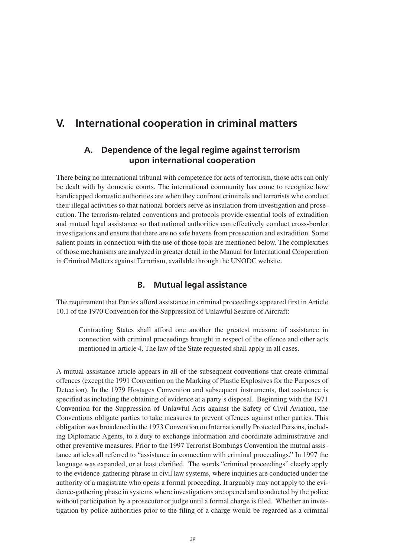# **V.—International cooperation in criminal matters**

## **A.—Dependence of the legal regime against terrorism upon international cooperation**

There being no international tribunal with competence for acts of terrorism, those acts can only be dealt with by domestic courts. The international community has come to recognize how handicapped domestic authorities are when they confront criminals and terrorists who conduct their illegal activities so that national borders serve as insulation from investigation and prosecution. The terrorism-related conventions and protocols provide essential tools of extradition and mutual legal assistance so that national authorities can effectively conduct cross-border investigations and ensure that there are no safe havens from prosecution and extradition. Some salient points in connection with the use of those tools are mentioned below. The complexities of those mechanisms are analyzed in greater detail in the Manual for International Cooperation in Criminal Matters against Terrorism, available through the UNODC website.

#### **B.—Mutual legal assistance**

The requirement that Parties afford assistance in criminal proceedings appeared first in Article 10.1 of the 1970 Convention for the Suppression of Unlawful Seizure of Aircraft:

Contracting States shall afford one another the greatest measure of assistance in connection with criminal proceedings brought in respect of the offence and other acts mentioned in article 4. The law of the State requested shall apply in all cases.

A mutual assistance article appears in all of the subsequent conventions that create criminal offences (except the 1991 Convention on the Marking of Plastic Explosives for the Purposes of Detection). In the 1979 Hostages Convention and subsequent instruments, that assistance is specified as including the obtaining of evidence at a party's disposal. Beginning with the 1971 Convention for the Suppression of Unlawful Acts against the Safety of Civil Aviation, the Conventions obligate parties to take measures to prevent offences against other parties. This obligation was broadened in the 1973 Convention on Internationally Protected Persons, including Diplomatic Agents, to a duty to exchange information and coordinate administrative and other preventive measures. Prior to the 1997 Terrorist Bombings Convention the mutual assistance articles all referred to "assistance in connection with criminal proceedings." In 1997 the language was expanded, or at least clarified. The words "criminal proceedings" clearly apply to the evidence-gathering phrase in civil law systems, where inquiries are conducted under the authority of a magistrate who opens a formal proceeding. It arguably may not apply to the evidence-gathering phase in systems where investigations are opened and conducted by the police without participation by a prosecutor or judge until a formal charge is filed. Whether an investigation by police authorities prior to the filing of a charge would be regarded as a criminal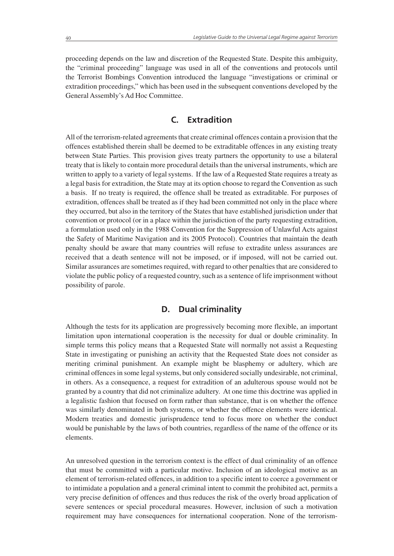proceeding depends on the law and discretion of the Requested State. Despite this ambiguity, the "criminal proceeding" language was used in all of the conventions and protocols until the Terrorist Bombings Convention introduced the language "investigations or criminal or extradition proceedings," which has been used in the subsequent conventions developed by the General Assembly's Ad Hoc Committee.

## **C.—Extradition**

All of the terrorism-related agreements that create criminal offences contain a provision that the offences established therein shall be deemed to be extraditable offences in any existing treaty between State Parties. This provision gives treaty partners the opportunity to use a bilateral treaty that is likely to contain more procedural details than the universal instruments, which are written to apply to a variety of legal systems. If the law of a Requested State requires a treaty as a legal basis for extradition, the State may at its option choose to regard the Convention as such a basis. If no treaty is required, the offence shall be treated as extraditable. For purposes of extradition, offences shall be treated as if they had been committed not only in the place where they occurred, but also in the territory of the States that have established jurisdiction under that convention or protocol (or in a place within the jurisdiction of the party requesting extradition, a formulation used only in the 1988 Convention for the Suppression of Unlawful Acts against the Safety of Maritime Navigation and its 2005 Protocol). Countries that maintain the death penalty should be aware that many countries will refuse to extradite unless assurances are received that a death sentence will not be imposed, or if imposed, will not be carried out. Similar assurances are sometimes required, with regard to other penalties that are considered to violate the public policy of a requested country, such as a sentence of life imprisonment without possibility of parole.

#### **D.—Dual criminality**

Although the tests for its application are progressively becoming more flexible, an important limitation upon international cooperation is the necessity for dual or double criminality. In simple terms this policy means that a Requested State will normally not assist a Requesting State in investigating or punishing an activity that the Requested State does not consider as meriting criminal punishment. An example might be blasphemy or adultery, which are criminal offences in some legal systems, but only considered socially undesirable, not criminal, in others. As a consequence, a request for extradition of an adulterous spouse would not be granted by a country that did not criminalize adultery. At one time this doctrine was applied in a legalistic fashion that focused on form rather than substance, that is on whether the offence was similarly denominated in both systems, or whether the offence elements were identical. Modern treaties and domestic jurisprudence tend to focus more on whether the conduct would be punishable by the laws of both countries, regardless of the name of the offence or its elements.

An unresolved question in the terrorism context is the effect of dual criminality of an offence that must be committed with a particular motive. Inclusion of an ideological motive as an element of terrorism-related offences, in addition to a specific intent to coerce a government or to intimidate a population and a general criminal intent to commit the prohibited act, permits a very precise definition of offences and thus reduces the risk of the overly broad application of severe sentences or special procedural measures. However, inclusion of such a motivation requirement may have consequences for international cooperation. None of the terrorism-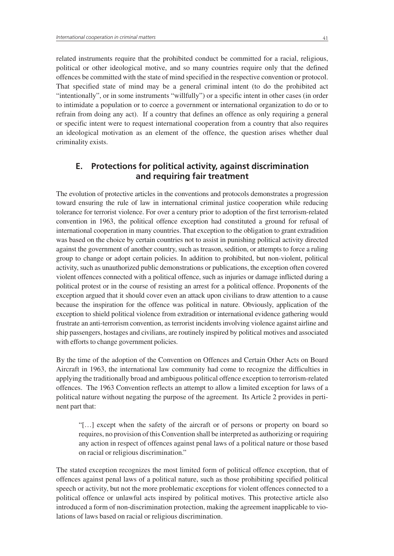related instruments require that the prohibited conduct be committed for a racial, religious, political or other ideological motive, and so many countries require only that the defined offences be committed with the state of mind specified in the respective convention or protocol. That specified state of mind may be a general criminal intent (to do the prohibited act "intentionally", or in some instruments "willfully") or a specific intent in other cases (in order to intimidate a population or to coerce a government or international organization to do or to refrain from doing any act). If a country that defines an offence as only requiring a general or specific intent were to request international cooperation from a country that also requires an ideological motivation as an element of the offence, the question arises whether dual criminality exists.

## **E.—Protections for political activity, against discrimination and requiring fair treatment**

The evolution of protective articles in the conventions and protocols demonstrates a progression toward ensuring the rule of law in international criminal justice cooperation while reducing tolerance for terrorist violence. For over a century prior to adoption of the first terrorism-related convention in 1963, the political offence exception had constituted a ground for refusal of international cooperation in many countries. That exception to the obligation to grant extradition was based on the choice by certain countries not to assist in punishing political activity directed against the government of another country, such as treason, sedition, or attempts to force a ruling group to change or adopt certain policies. In addition to prohibited, but non-violent, political activity, such as unauthorized public demonstrations or publications, the exception often covered violent offences connected with a political offence, such as injuries or damage inflicted during a political protest or in the course of resisting an arrest for a political offence. Proponents of the exception argued that it should cover even an attack upon civilians to draw attention to a cause because the inspiration for the offence was political in nature. Obviously, application of the exception to shield political violence from extradition or international evidence gathering would frustrate an anti-terrorism convention, as terrorist incidents involving violence against airline and ship passengers, hostages and civilians, are routinely inspired by political motives and associated with efforts to change government policies.

By the time of the adoption of the Convention on Offences and Certain Other Acts on Board Aircraft in 1963, the international law community had come to recognize the difficulties in applying the traditionally broad and ambiguous political offence exception to terrorism-related offences. The 1963 Convention reflects an attempt to allow a limited exception for laws of a political nature without negating the purpose of the agreement. Its Article 2 provides in pertinent part that:

"[…] except when the safety of the aircraft or of persons or property on board so requires, no provision of this Convention shall be interpreted as authorizing or requiring any action in respect of offences against penal laws of a political nature or those based on racial or religious discrimination."

The stated exception recognizes the most limited form of political offence exception, that of offences against penal laws of a political nature, such as those prohibiting specified political speech or activity, but not the more problematic exceptions for violent offences connected to a political offence or unlawful acts inspired by political motives. This protective article also introduced a form of non-discrimination protection, making the agreement inapplicable to violations of laws based on racial or religious discrimination.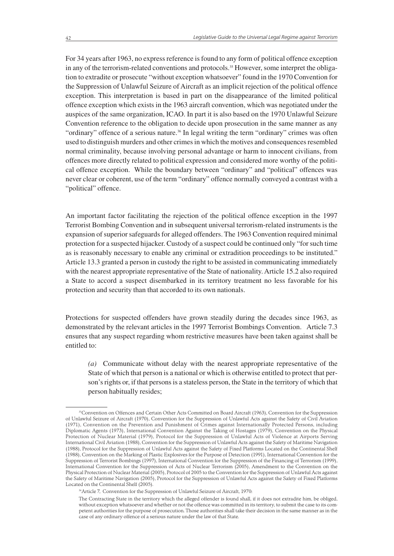For 34 years after 1963, no express reference is found to any form of political offence exception in any of the terrorism-related conventions and protocols.<sup>35</sup> However, some interpret the obligation to extradite or prosecute "without exception whatsoever" found in the 1970 Convention for the Suppression of Unlawful Seizure of Aircraft as an implicit rejection of the political offence exception. This interpretation is based in part on the disappearance of the limited political offence exception which exists in the 1963 aircraft convention, which was negotiated under the auspices of the same organization, ICAO. In part it is also based on the 1970 Unlawful Seizure Convention reference to the obligation to decide upon prosecution in the same manner as any "ordinary" offence of a serious nature.<sup>36</sup> In legal writing the term "ordinary" crimes was often used to distinguish murders and other crimes in which the motives and consequences resembled normal criminality, because involving personal advantage or harm to innocent civilians, from offences more directly related to political expression and considered more worthy of the political offence exception. While the boundary between "ordinary" and "political" offences was never clear or coherent, use of the term "ordinary" offence normally conveyed a contrast with a "political" offence.

An important factor facilitating the rejection of the political offence exception in the 1997 Terrorist Bombing Convention and in subsequent universal terrorism-related instruments is the expansion of superior safeguards for alleged offenders. The 1963 Convention required minimal protection for a suspected hijacker. Custody of a suspect could be continued only "for such time as is reasonably necessary to enable any criminal or extradition proceedings to be instituted." Article 13.3 granted a person in custody the right to be assisted in communicating immediately with the nearest appropriate representative of the State of nationality. Article 15.2 also required a State to accord a suspect disembarked in its territory treatment no less favorable for his protection and security than that accorded to its own nationals.

Protections for suspected offenders have grown steadily during the decades since 1963, as demonstrated by the relevant articles in the 1997 Terrorist Bombings Convention. Article 7.3 ensures that any suspect regarding whom restrictive measures have been taken against shall be entitled to:

*(a)* Communicate without delay with the nearest appropriate representative of the State of which that person is a national or which is otherwise entitled to protect that person's rights or, if that persons is a stateless person, the State in the territory of which that person habitually resides;

<sup>35</sup>Convention on Offences and Certain Other Acts Committed on Board Aircraft (1963), Convention for the Suppression of Unlawful Seizure of Aircraft (1970), Convention for the Suppression of Unlawful Acts against the Safety of Civil Aviation (1971), Convention on the Prevention and Punishment of Crimes against Internationally Protected Persons, including Diplomatic Agents (1973), International Convention Against the Taking of Hostages (1979), Convention on the Physical Protection of Nuclear Material (1979), Protocol for the Suppression of Unlawful Acts of Violence at Airports Serving International Civil Aviation (1988), Convention for the Suppression of Unlawful Acts against the Safety of Maritime Navigation (1988), Protocol for the Suppression of Unlawful Acts against the Safety of Fixed Platforms Located on the Continental Shelf (1988), Convention on the Marking of Plastic Explosives for the Purpose of Detection (1991), International Convention for the Suppression of Terrorist Bombings (1997), International Convention for the Suppression of the Financing of Terrorism (1999), International Convention for the Suppression of Acts of Nuclear Terrorism (2005), Amendment to the Convention on the Physical Protection of Nuclear Material (2005), Protocol of 2005 to the Convention for the Suppression of Unlawful Acts against the Safety of Maritime Navigation (2005), Protocol for the Suppression of Unlawful Acts against the Safety of Fixed Platforms Located on the Continental Shelf (2005).

<sup>&</sup>lt;sup>36</sup>Article 7, Convention for the Suppression of Unlawful Seizure of Aircraft, 1970:

The Contracting State in the territory which the alleged offender is found shall, if it does not extradite him, be obliged, without exception whatsoever and whether or not the offence was committed in its territory, to submit the case to its competent authorities for the purpose of prosecution. Those authorities shall take their decision in the same manner as in the case of any ordinary offence of a serious nature under the law of that State.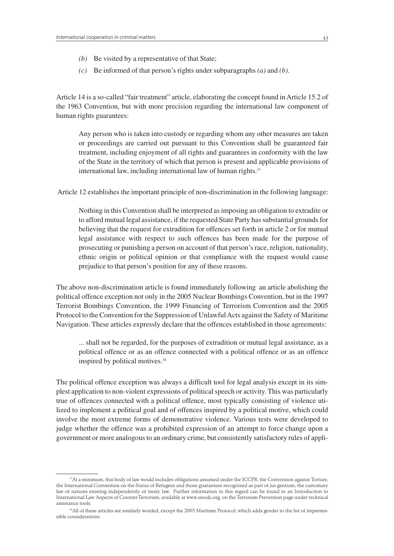- *(b)* Be visited by a representative of that State;
- *(c)* Be informed of that person's rights under subparagraphs *(a)* and *(b)*.

Article 14 is a so-called "fair treatment" article, elaborating the concept found in Article 15.2 of the 1963 Convention, but with more precision regarding the international law component of human rights guarantees:

Any person who is taken into custody or regarding whom any other measures are taken or proceedings are carried out pursuant to this Convention shall be guaranteed fair treatment, including enjoyment of all rights and guarantees in conformity with the law of the State in the territory of which that person is present and applicable provisions of international law, including international law of human rights.<sup>37</sup>

Article 12 establishes the important principle of non-discrimination in the following language:

Nothing in this Convention shall be interpreted as imposing an obligation to extradite or to afford mutual legal assistance, if the requested State Party has substantial grounds for believing that the request for extradition for offences set forth in article 2 or for mutual legal assistance with respect to such offences has been made for the purpose of prosecuting or punishing a person on account of that person's race, religion, nationality, ethnic origin or political opinion or that compliance with the request would cause prejudice to that person's position for any of these reasons.

The above non-discrimination article is found immediately following an article abolishing the political offence exception not only in the 2005 Nuclear Bombings Convention, but in the 1997 Terrorist Bombings Convention, the 1999 Financing of Terrorism Convention and the 2005 Protocol to the Convention for the Suppression of Unlawful Acts against the Safety of Maritime Navigation. These articles expressly declare that the offences established in those agreements:

... shall not be regarded, for the purposes of extradition or mutual legal assistance, as a political offence or as an offence connected with a political offence or as an offence inspired by political motives.<sup>38</sup>

The political offence exception was always a difficult tool for legal analysis except in its simplest application to non-violent expressions of political speech or activity. This was particularly true of offences connected with a political offence, most typically consisting of violence utilized to implement a political goal and of offences inspired by a political motive, which could involve the most extreme forms of demonstrative violence. Various tests were developed to judge whether the offence was a prohibited expression of an attempt to force change upon a government or more analogous to an ordinary crime, but consistently satisfactory rules of appli-

<sup>&</sup>lt;sup>37</sup>At a minimum, this body of law would includes obligations assumed under the ICCPR, the Convention against Torture, the International Convention on the Status of Refugees and those guarantees recognized as part of jus gentium, the customary law of nations existing independently of treaty law. Further information in this regard can be found in an Introduction to International Law Aspects of Counter-Terrorism, available at www.unodc.org, on the Terrorism Prevention page under technical assistance tools.

<sup>38</sup>All of these articles are similarly worded, except the 2005 Maritime Protocol, which adds gender to the list of impermissible considerations.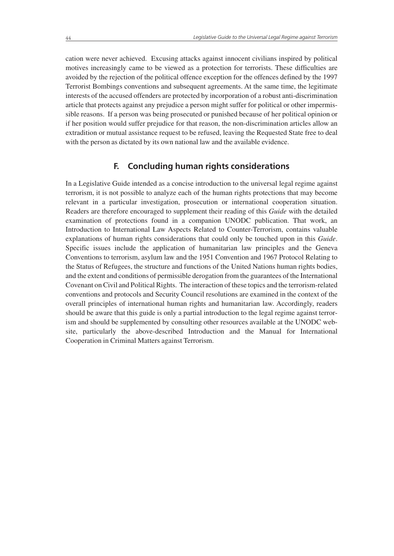cation were never achieved. Excusing attacks against innocent civilians inspired by political motives increasingly came to be viewed as a protection for terrorists. These difficulties are avoided by the rejection of the political offence exception for the offences defined by the 1997 Terrorist Bombings conventions and subsequent agreements. At the same time, the legitimate interests of the accused offenders are protected by incorporation of a robust anti-discrimination article that protects against any prejudice a person might suffer for political or other impermissible reasons. If a person was being prosecuted or punished because of her political opinion or if her position would suffer prejudice for that reason, the non-discrimination articles allow an extradition or mutual assistance request to be refused, leaving the Requested State free to deal with the person as dictated by its own national law and the available evidence.

#### **F.—Concluding human rights considerations**

In a Legislative Guide intended as a concise introduction to the universal legal regime against terrorism, it is not possible to analyze each of the human rights protections that may become relevant in a particular investigation, prosecution or international cooperation situation. Readers are therefore encouraged to supplement their reading of this *Guide* with the detailed examination of protections found in a companion UNODC publication. That work, an Introduction to International Law Aspects Related to Counter-Terrorism, contains valuable explanations of human rights considerations that could only be touched upon in this *Guide*. Specific issues include the application of humanitarian law principles and the Geneva Conventions to terrorism, asylum law and the 1951 Convention and 1967 Protocol Relating to the Status of Refugees, the structure and functions of the United Nations human rights bodies, and the extent and conditions of permissible derogation from the guarantees of the International Covenant on Civil and Political Rights. The interaction of these topics and the terrorism-related conventions and protocols and Security Council resolutions are examined in the context of the overall principles of international human rights and humanitarian law. Accordingly, readers should be aware that this guide is only a partial introduction to the legal regime against terrorism and should be supplemented by consulting other resources available at the UNODC website, particularly the above-described Introduction and the Manual for International Cooperation in Criminal Matters against Terrorism.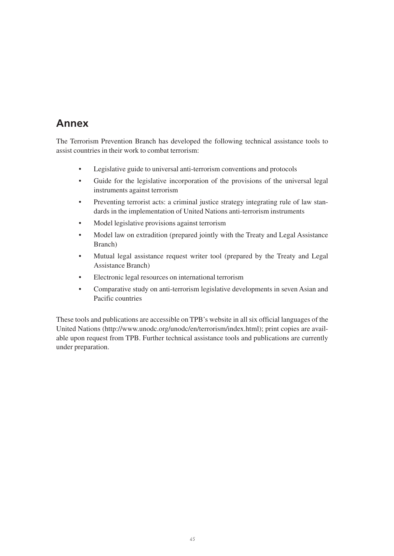# **Annex**

The Terrorism Prevention Branch has developed the following technical assistance tools to assist countries in their work to combat terrorism:

- Legislative guide to universal anti-terrorism conventions and protocols
- Guide for the legislative incorporation of the provisions of the universal legal instruments against terrorism
- Preventing terrorist acts: a criminal justice strategy integrating rule of law standards in the implementation of United Nations anti-terrorism instruments
- Model legislative provisions against terrorism
- Model law on extradition (prepared jointly with the Treaty and Legal Assistance Branch)
- Mutual legal assistance request writer tool (prepared by the Treaty and Legal Assistance Branch)
- Electronic legal resources on international terrorism
- Comparative study on anti-terrorism legislative developments in seven Asian and Pacific countries

These tools and publications are accessible on TPB's website in all six official languages of the United Nations (http://www.unodc.org/unodc/en/terrorism/index.html); print copies are available upon request from TPB. Further technical assistance tools and publications are currently under preparation.